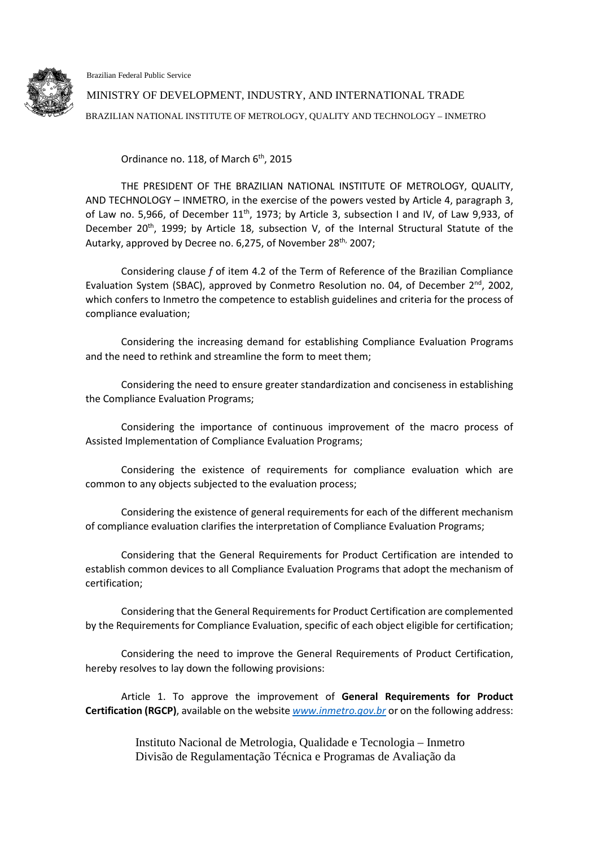Brazilian Federal Public Service



MINISTRY OF DEVELOPMENT, INDUSTRY, AND INTERNATIONAL TRADE BRAZILIAN NATIONAL INSTITUTE OF METROLOGY, QUALITY AND TECHNOLOGY – INMETRO

Ordinance no. 118, of March  $6<sup>th</sup>$ , 2015

THE PRESIDENT OF THE BRAZILIAN NATIONAL INSTITUTE OF METROLOGY, QUALITY, AND TECHNOLOGY – INMETRO, in the exercise of the powers vested by Article 4, paragraph 3, of Law no. 5,966, of December  $11<sup>th</sup>$ , 1973; by Article 3, subsection I and IV, of Law 9,933, of December 20<sup>th</sup>, 1999; by Article 18, subsection V, of the Internal Structural Statute of the Autarky, approved by Decree no. 6,275, of November 28<sup>th,</sup> 2007;

Considering clause *f* of item 4.2 of the Term of Reference of the Brazilian Compliance Evaluation System (SBAC), approved by Conmetro Resolution no. 04, of December 2<sup>nd</sup>, 2002, which confers to Inmetro the competence to establish guidelines and criteria for the process of compliance evaluation;

Considering the increasing demand for establishing Compliance Evaluation Programs and the need to rethink and streamline the form to meet them;

Considering the need to ensure greater standardization and conciseness in establishing the Compliance Evaluation Programs;

Considering the importance of continuous improvement of the macro process of Assisted Implementation of Compliance Evaluation Programs;

Considering the existence of requirements for compliance evaluation which are common to any objects subjected to the evaluation process;

Considering the existence of general requirements for each of the different mechanism of compliance evaluation clarifies the interpretation of Compliance Evaluation Programs;

Considering that the General Requirements for Product Certification are intended to establish common devices to all Compliance Evaluation Programs that adopt the mechanism of certification;

Considering that the General Requirements for Product Certification are complemented by the Requirements for Compliance Evaluation, specific of each object eligible for certification;

Considering the need to improve the General Requirements of Product Certification, hereby resolves to lay down the following provisions:

Article 1. To approve the improvement of **General Requirements for Product Certification (RGCP)**, available on the website *[www.inmetro.gov.br](http://www.inmetro.gov.br/)* or on the following address:

> Instituto Nacional de Metrologia, Qualidade e Tecnologia – Inmetro Divisão de Regulamentação Técnica e Programas de Avaliação da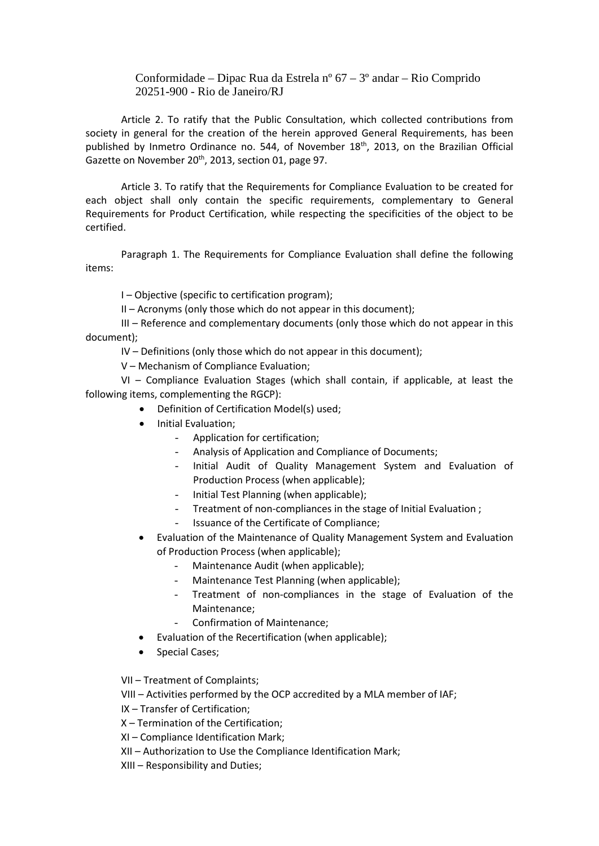## Conformidade – Dipac Rua da Estrela nº 67 – 3º andar – Rio Comprido 20251-900 - Rio de Janeiro/RJ

Article 2. To ratify that the Public Consultation, which collected contributions from society in general for the creation of the herein approved General Requirements, has been published by Inmetro Ordinance no. 544, of November 18<sup>th</sup>, 2013, on the Brazilian Official Gazette on November 20<sup>th</sup>, 2013, section 01, page 97.

Article 3. To ratify that the Requirements for Compliance Evaluation to be created for each object shall only contain the specific requirements, complementary to General Requirements for Product Certification, while respecting the specificities of the object to be certified.

Paragraph 1. The Requirements for Compliance Evaluation shall define the following items:

I – Objective (specific to certification program);

II – Acronyms (only those which do not appear in this document);

III – Reference and complementary documents (only those which do not appear in this document);

IV – Definitions (only those which do not appear in this document);

V – Mechanism of Compliance Evaluation;

VI – Compliance Evaluation Stages (which shall contain, if applicable, at least the following items, complementing the RGCP):

- Definition of Certification Model(s) used;
- Initial Evaluation;
	- Application for certification;
	- Analysis of Application and Compliance of Documents;
	- Initial Audit of Quality Management System and Evaluation of Production Process (when applicable);
	- Initial Test Planning (when applicable);
	- Treatment of non-compliances in the stage of Initial Evaluation;
	- Issuance of the Certificate of Compliance;
- Evaluation of the Maintenance of Quality Management System and Evaluation of Production Process (when applicable);
	- Maintenance Audit (when applicable);
	- Maintenance Test Planning (when applicable);
	- Treatment of non-compliances in the stage of Evaluation of the Maintenance;
	- Confirmation of Maintenance;
- Evaluation of the Recertification (when applicable);
- Special Cases;

VII – Treatment of Complaints;

VIII – Activities performed by the OCP accredited by a MLA member of IAF;

IX – Transfer of Certification;

- X Termination of the Certification;
- XI Compliance Identification Mark;
- XII Authorization to Use the Compliance Identification Mark;

XIII – Responsibility and Duties;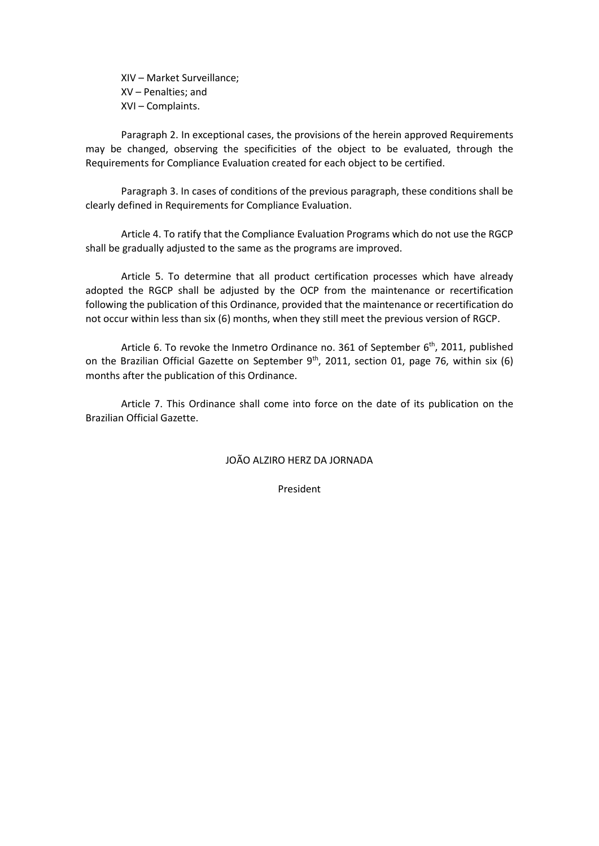XIV – Market Surveillance; XV – Penalties; and XVI – Complaints.

Paragraph 2. In exceptional cases, the provisions of the herein approved Requirements may be changed, observing the specificities of the object to be evaluated, through the Requirements for Compliance Evaluation created for each object to be certified.

Paragraph 3. In cases of conditions of the previous paragraph, these conditions shall be clearly defined in Requirements for Compliance Evaluation.

Article 4. To ratify that the Compliance Evaluation Programs which do not use the RGCP shall be gradually adjusted to the same as the programs are improved.

Article 5. To determine that all product certification processes which have already adopted the RGCP shall be adjusted by the OCP from the maintenance or recertification following the publication of this Ordinance, provided that the maintenance or recertification do not occur within less than six (6) months, when they still meet the previous version of RGCP.

Article 6. To revoke the Inmetro Ordinance no. 361 of September 6<sup>th</sup>, 2011, published on the Brazilian Official Gazette on September  $9<sup>th</sup>$ , 2011, section 01, page 76, within six (6) months after the publication of this Ordinance.

Article 7. This Ordinance shall come into force on the date of its publication on the Brazilian Official Gazette.

JOÃO ALZIRO HERZ DA JORNADA

President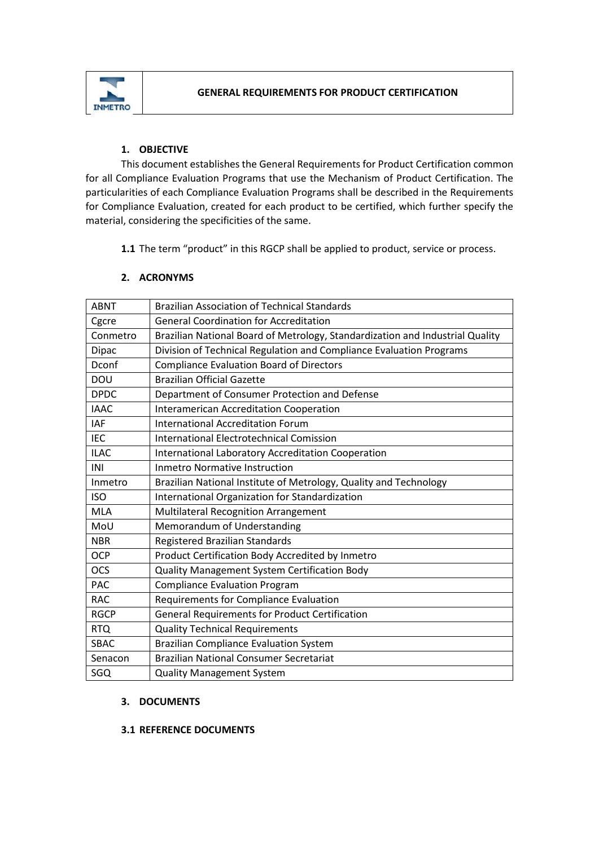

# **1. OBJECTIVE**

This document establishes the General Requirements for Product Certification common for all Compliance Evaluation Programs that use the Mechanism of Product Certification. The particularities of each Compliance Evaluation Programs shall be described in the Requirements for Compliance Evaluation, created for each product to be certified, which further specify the material, considering the specificities of the same.

**1.1** The term "product" in this RGCP shall be applied to product, service or process.

# **2. ACRONYMS**

| <b>ABNT</b>  | <b>Brazilian Association of Technical Standards</b>                           |
|--------------|-------------------------------------------------------------------------------|
| Cgcre        | <b>General Coordination for Accreditation</b>                                 |
| Conmetro     | Brazilian National Board of Metrology, Standardization and Industrial Quality |
| <b>Dipac</b> | Division of Technical Regulation and Compliance Evaluation Programs           |
| Dconf        | <b>Compliance Evaluation Board of Directors</b>                               |
| DOU          | <b>Brazilian Official Gazette</b>                                             |
| <b>DPDC</b>  | Department of Consumer Protection and Defense                                 |
| <b>IAAC</b>  | Interamerican Accreditation Cooperation                                       |
| <b>IAF</b>   | <b>International Accreditation Forum</b>                                      |
| <b>IEC</b>   | <b>International Electrotechnical Comission</b>                               |
| <b>ILAC</b>  | <b>International Laboratory Accreditation Cooperation</b>                     |
| INI          | <b>Inmetro Normative Instruction</b>                                          |
| Inmetro      | Brazilian National Institute of Metrology, Quality and Technology             |
| <b>ISO</b>   | International Organization for Standardization                                |
| <b>MLA</b>   | Multilateral Recognition Arrangement                                          |
| MoU          | Memorandum of Understanding                                                   |
| <b>NBR</b>   | Registered Brazilian Standards                                                |
| <b>OCP</b>   | Product Certification Body Accredited by Inmetro                              |
| <b>OCS</b>   | Quality Management System Certification Body                                  |
| <b>PAC</b>   | <b>Compliance Evaluation Program</b>                                          |
| <b>RAC</b>   | Requirements for Compliance Evaluation                                        |
| <b>RGCP</b>  | <b>General Requirements for Product Certification</b>                         |
| <b>RTQ</b>   | <b>Quality Technical Requirements</b>                                         |
| <b>SBAC</b>  | <b>Brazilian Compliance Evaluation System</b>                                 |
| Senacon      | <b>Brazilian National Consumer Secretariat</b>                                |
| SGQ          | <b>Quality Management System</b>                                              |

# **3. DOCUMENTS**

# **3.1 REFERENCE DOCUMENTS**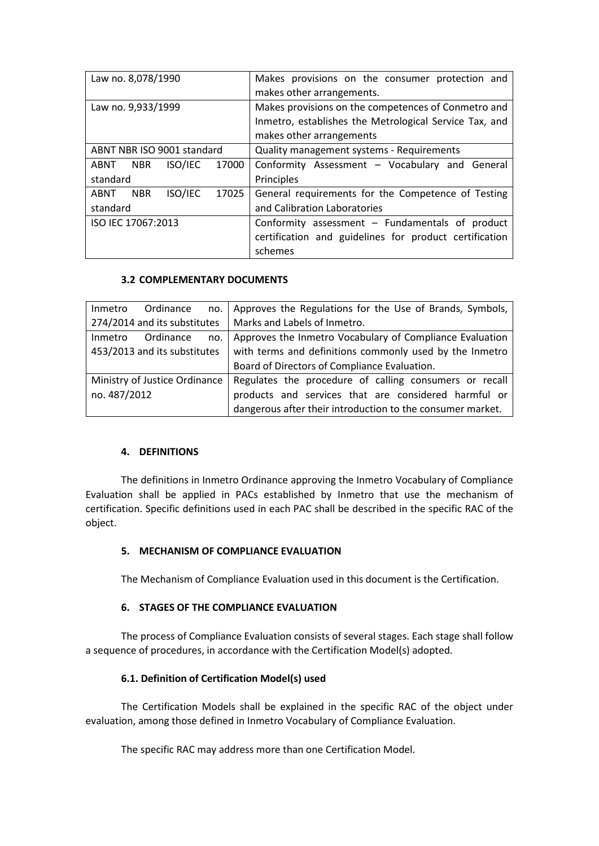| Law no. 8,078/1990                     | Makes provisions on the consumer protection and<br>makes other arrangements.                                                              |  |  |  |
|----------------------------------------|-------------------------------------------------------------------------------------------------------------------------------------------|--|--|--|
| Law no. 9,933/1999                     | Makes provisions on the competences of Conmetro and<br>Inmetro, establishes the Metrological Service Tax, and<br>makes other arrangements |  |  |  |
| ABNT NBR ISO 9001 standard             | Quality management systems - Requirements                                                                                                 |  |  |  |
| 17000<br>ISO/IEC<br>ABNT NBR           | Conformity Assessment - Vocabulary and General                                                                                            |  |  |  |
| standard                               | Principles                                                                                                                                |  |  |  |
| ISO/IEC<br>17025<br>ABNT<br><b>NBR</b> | General requirements for the Competence of Testing                                                                                        |  |  |  |
| standard                               | and Calibration Laboratories                                                                                                              |  |  |  |
| ISO IEC 17067:2013                     | Conformity assessment $-$ Fundamentals of product                                                                                         |  |  |  |
|                                        | certification and guidelines for product certification                                                                                    |  |  |  |
|                                        | schemes                                                                                                                                   |  |  |  |

### **3.2 COMPLEMENTARY DOCUMENTS**

| Ordinance<br>Inmetro          | no.   Approves the Regulations for the Use of Brands, Symbols, |
|-------------------------------|----------------------------------------------------------------|
| 274/2014 and its substitutes  | Marks and Labels of Inmetro.                                   |
| Ordinance<br>Inmetro<br>no.   | Approves the Inmetro Vocabulary of Compliance Evaluation       |
| 453/2013 and its substitutes  | with terms and definitions commonly used by the Inmetro        |
|                               | Board of Directors of Compliance Evaluation.                   |
| Ministry of Justice Ordinance | Regulates the procedure of calling consumers or recall         |
| no. 487/2012                  | products and services that are considered harmful or           |
|                               | dangerous after their introduction to the consumer market.     |

### **4. DEFINITIONS**

The definitions in Inmetro Ordinance approving the Inmetro Vocabulary of Compliance Evaluation shall be applied in PACs established by Inmetro that use the mechanism of certification. Specific definitions used in each PAC shall be described in the specific RAC of the object.

### **5. MECHANISM OF COMPLIANCE EVALUATION**

The Mechanism of Compliance Evaluation used in this document is the Certification.

### **6. STAGES OF THE COMPLIANCE EVALUATION**

The process of Compliance Evaluation consists of several stages. Each stage shall follow a sequence of procedures, in accordance with the Certification Model(s) adopted.

#### **6.1. Definition of Certification Model(s) used**

The Certification Models shall be explained in the specific RAC of the object under evaluation, among those defined in Inmetro Vocabulary of Compliance Evaluation.

The specific RAC may address more than one Certification Model.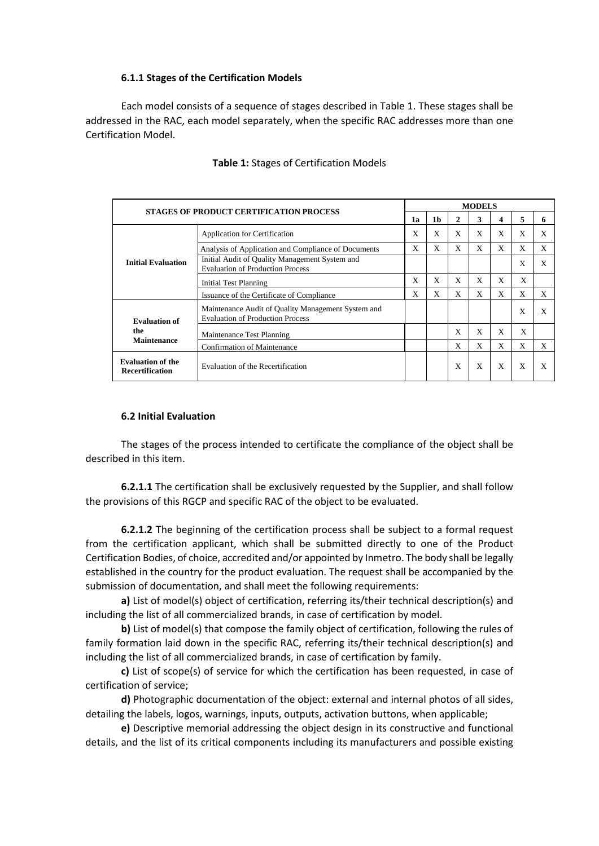## **6.1.1 Stages of the Certification Models**

Each model consists of a sequence of stages described in Table 1. These stages shall be addressed in the RAC, each model separately, when the specific RAC addresses more than one Certification Model.

| <b>STAGES OF PRODUCT CERTIFICATION PROCESS</b>     |                                                                                               | <b>MODELS</b> |    |   |              |              |   |   |
|----------------------------------------------------|-----------------------------------------------------------------------------------------------|---------------|----|---|--------------|--------------|---|---|
|                                                    |                                                                                               | 1a            | 1b | 2 | 3            | 4            | 5 | 6 |
|                                                    | Application for Certification                                                                 |               | X  | X | X            | X            | X | X |
|                                                    | Analysis of Application and Compliance of Documents                                           |               | X  | X | X            | X            | X | X |
| <b>Initial Evaluation</b>                          | Initial Audit of Quality Management System and<br><b>Evaluation of Production Process</b>     |               |    |   |              |              | X | X |
|                                                    | <b>Initial Test Planning</b>                                                                  |               | X  | X | X            | X            | X |   |
|                                                    | Issuance of the Certificate of Compliance                                                     |               | X  | X | X            | X            | X | X |
| <b>Evaluation of</b>                               | Maintenance Audit of Quality Management System and<br><b>Evaluation of Production Process</b> |               |    |   |              |              | X | X |
| the                                                | Maintenance Test Planning                                                                     |               |    | X | X            | X            | X |   |
| <b>Maintenance</b>                                 | Confirmation of Maintenance                                                                   |               |    | X | X            | X            | X | X |
| <b>Evaluation of the</b><br><b>Recertification</b> | Evaluation of the Recertification                                                             |               |    | X | $\mathbf{x}$ | $\mathbf{x}$ | X | X |

### **Table 1:** Stages of Certification Models

#### **6.2 Initial Evaluation**

The stages of the process intended to certificate the compliance of the object shall be described in this item.

**6.2.1.1** The certification shall be exclusively requested by the Supplier, and shall follow the provisions of this RGCP and specific RAC of the object to be evaluated.

**6.2.1.2** The beginning of the certification process shall be subject to a formal request from the certification applicant, which shall be submitted directly to one of the Product Certification Bodies, of choice, accredited and/or appointed by Inmetro. The body shall be legally established in the country for the product evaluation. The request shall be accompanied by the submission of documentation, and shall meet the following requirements:

**a)** List of model(s) object of certification, referring its/their technical description(s) and including the list of all commercialized brands, in case of certification by model.

**b)** List of model(s) that compose the family object of certification, following the rules of family formation laid down in the specific RAC, referring its/their technical description(s) and including the list of all commercialized brands, in case of certification by family.

**c)** List of scope(s) of service for which the certification has been requested, in case of certification of service;

**d)** Photographic documentation of the object: external and internal photos of all sides, detailing the labels, logos, warnings, inputs, outputs, activation buttons, when applicable;

**e)** Descriptive memorial addressing the object design in its constructive and functional details, and the list of its critical components including its manufacturers and possible existing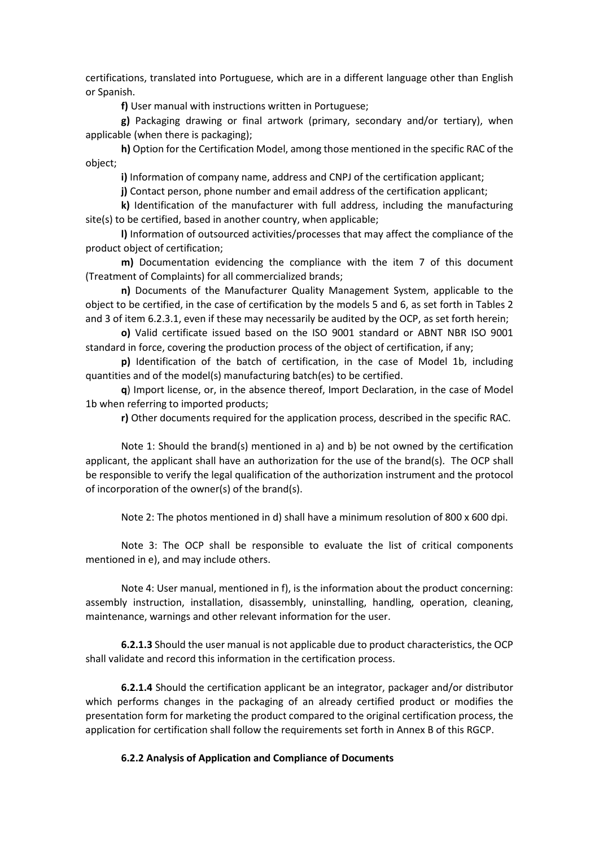certifications, translated into Portuguese, which are in a different language other than English or Spanish.

**f)** User manual with instructions written in Portuguese;

**g)** Packaging drawing or final artwork (primary, secondary and/or tertiary), when applicable (when there is packaging);

**h)** Option for the Certification Model, among those mentioned in the specific RAC of the object;

**i)** Information of company name, address and CNPJ of the certification applicant;

**j)** Contact person, phone number and email address of the certification applicant;

**k)** Identification of the manufacturer with full address, including the manufacturing site(s) to be certified, based in another country, when applicable;

**l)** Information of outsourced activities/processes that may affect the compliance of the product object of certification;

**m)** Documentation evidencing the compliance with the item 7 of this document (Treatment of Complaints) for all commercialized brands;

**n)** Documents of the Manufacturer Quality Management System, applicable to the object to be certified, in the case of certification by the models 5 and 6, as set forth in Tables 2 and 3 of item 6.2.3.1, even if these may necessarily be audited by the OCP, as set forth herein;

**o)** Valid certificate issued based on the ISO 9001 standard or ABNT NBR ISO 9001 standard in force, covering the production process of the object of certification, if any;

**p)** Identification of the batch of certification, in the case of Model 1b, including quantities and of the model(s) manufacturing batch(es) to be certified.

**q**) Import license, or, in the absence thereof, Import Declaration, in the case of Model 1b when referring to imported products;

**r)** Other documents required for the application process, described in the specific RAC.

Note 1: Should the brand(s) mentioned in a) and b) be not owned by the certification applicant, the applicant shall have an authorization for the use of the brand(s). The OCP shall be responsible to verify the legal qualification of the authorization instrument and the protocol of incorporation of the owner(s) of the brand(s).

Note 2: The photos mentioned in d) shall have a minimum resolution of 800 x 600 dpi.

Note 3: The OCP shall be responsible to evaluate the list of critical components mentioned in e), and may include others.

Note 4: User manual, mentioned in f), is the information about the product concerning: assembly instruction, installation, disassembly, uninstalling, handling, operation, cleaning, maintenance, warnings and other relevant information for the user.

**6.2.1.3** Should the user manual is not applicable due to product characteristics, the OCP shall validate and record this information in the certification process.

**6.2.1.4** Should the certification applicant be an integrator, packager and/or distributor which performs changes in the packaging of an already certified product or modifies the presentation form for marketing the product compared to the original certification process, the application for certification shall follow the requirements set forth in Annex B of this RGCP.

### **6.2.2 Analysis of Application and Compliance of Documents**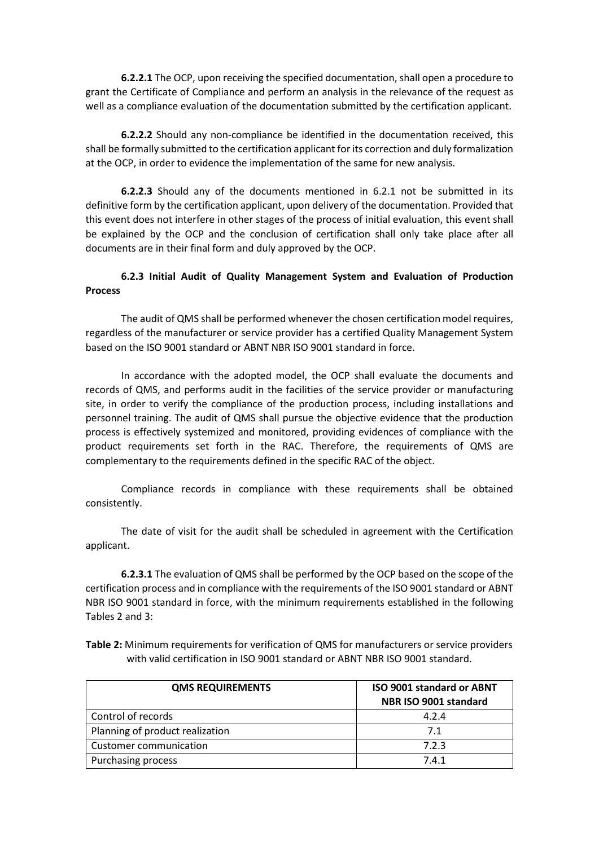**6.2.2.1** The OCP, upon receiving the specified documentation, shall open a procedure to grant the Certificate of Compliance and perform an analysis in the relevance of the request as well as a compliance evaluation of the documentation submitted by the certification applicant.

**6.2.2.2** Should any non-compliance be identified in the documentation received, this shall be formally submitted to the certification applicant for its correction and duly formalization at the OCP, in order to evidence the implementation of the same for new analysis.

**6.2.2.3** Should any of the documents mentioned in 6.2.1 not be submitted in its definitive form by the certification applicant, upon delivery of the documentation. Provided that this event does not interfere in other stages of the process of initial evaluation, this event shall be explained by the OCP and the conclusion of certification shall only take place after all documents are in their final form and duly approved by the OCP.

# **6.2.3 Initial Audit of Quality Management System and Evaluation of Production Process**

The audit of QMS shall be performed whenever the chosen certification model requires, regardless of the manufacturer or service provider has a certified Quality Management System based on the ISO 9001 standard or ABNT NBR ISO 9001 standard in force.

In accordance with the adopted model, the OCP shall evaluate the documents and records of QMS, and performs audit in the facilities of the service provider or manufacturing site, in order to verify the compliance of the production process, including installations and personnel training. The audit of QMS shall pursue the objective evidence that the production process is effectively systemized and monitored, providing evidences of compliance with the product requirements set forth in the RAC. Therefore, the requirements of QMS are complementary to the requirements defined in the specific RAC of the object.

Compliance records in compliance with these requirements shall be obtained consistently.

The date of visit for the audit shall be scheduled in agreement with the Certification applicant.

**6.2.3.1** The evaluation of QMS shall be performed by the OCP based on the scope of the certification process and in compliance with the requirements of the ISO 9001 standard or ABNT NBR ISO 9001 standard in force, with the minimum requirements established in the following Tables 2 and 3:

**Table 2:** Minimum requirements for verification of QMS for manufacturers or service providers with valid certification in ISO 9001 standard or ABNT NBR ISO 9001 standard.

| <b>QMS REQUIREMENTS</b>         | <b>ISO 9001 standard or ABNT</b><br>NBR ISO 9001 standard |  |  |  |
|---------------------------------|-----------------------------------------------------------|--|--|--|
| Control of records              | 4.2.4                                                     |  |  |  |
| Planning of product realization | 7.1                                                       |  |  |  |
| Customer communication          | 7.2.3                                                     |  |  |  |
| <b>Purchasing process</b>       | 7.4.1                                                     |  |  |  |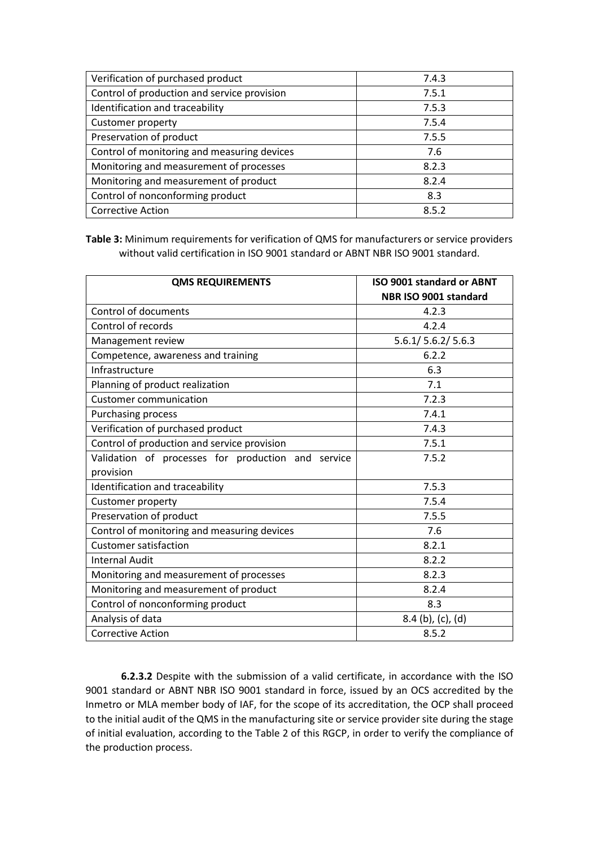| Verification of purchased product           | 7.4.3 |
|---------------------------------------------|-------|
| Control of production and service provision | 7.5.1 |
| Identification and traceability             | 7.5.3 |
| <b>Customer property</b>                    | 7.5.4 |
| Preservation of product                     | 7.5.5 |
| Control of monitoring and measuring devices | 7.6   |
| Monitoring and measurement of processes     | 8.2.3 |
| Monitoring and measurement of product       | 8.2.4 |
| Control of nonconforming product            | 8.3   |
| <b>Corrective Action</b>                    | 8.5.2 |

**Table 3:** Minimum requirements for verification of QMS for manufacturers or service providers without valid certification in ISO 9001 standard or ABNT NBR ISO 9001 standard.

| <b>QMS REQUIREMENTS</b>                            | <b>ISO 9001 standard or ABNT</b> |  |  |  |
|----------------------------------------------------|----------------------------------|--|--|--|
|                                                    | NBR ISO 9001 standard            |  |  |  |
| Control of documents                               | 4.2.3                            |  |  |  |
| Control of records                                 | 4.2.4                            |  |  |  |
| Management review                                  | 5.6.1/ 5.6.2/ 5.6.3              |  |  |  |
| Competence, awareness and training                 | 6.2.2                            |  |  |  |
| Infrastructure                                     | 6.3                              |  |  |  |
| Planning of product realization                    | 7.1                              |  |  |  |
| <b>Customer communication</b>                      | 7.2.3                            |  |  |  |
| Purchasing process                                 | 7.4.1                            |  |  |  |
| Verification of purchased product                  | 7.4.3                            |  |  |  |
| Control of production and service provision        | 7.5.1                            |  |  |  |
| Validation of processes for production and service | 7.5.2                            |  |  |  |
| provision                                          |                                  |  |  |  |
| Identification and traceability                    | 7.5.3                            |  |  |  |
| Customer property                                  | 7.5.4                            |  |  |  |
| Preservation of product                            | 7.5.5                            |  |  |  |
| Control of monitoring and measuring devices        | 7.6                              |  |  |  |
| <b>Customer satisfaction</b>                       | 8.2.1                            |  |  |  |
| <b>Internal Audit</b>                              | 8.2.2                            |  |  |  |
| Monitoring and measurement of processes            | 8.2.3                            |  |  |  |
| Monitoring and measurement of product              | 8.2.4                            |  |  |  |
| Control of nonconforming product                   | 8.3                              |  |  |  |
| Analysis of data                                   | $8.4$ (b), (c), (d)              |  |  |  |
| <b>Corrective Action</b>                           | 8.5.2                            |  |  |  |

**6.2.3.2** Despite with the submission of a valid certificate, in accordance with the ISO 9001 standard or ABNT NBR ISO 9001 standard in force, issued by an OCS accredited by the Inmetro or MLA member body of IAF, for the scope of its accreditation, the OCP shall proceed to the initial audit of the QMS in the manufacturing site or service provider site during the stage of initial evaluation, according to the Table 2 of this RGCP, in order to verify the compliance of the production process.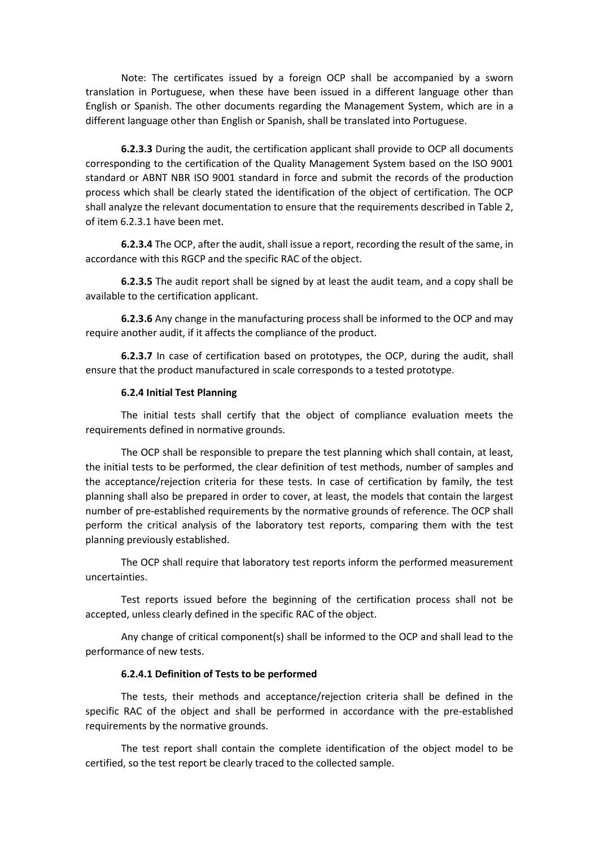Note: The certificates issued by a foreign OCP shall be accompanied by a sworn translation in Portuguese, when these have been issued in a different language other than English or Spanish. The other documents regarding the Management System, which are in a different language other than English or Spanish, shall be translated into Portuguese.

**6.2.3.3** During the audit, the certification applicant shall provide to OCP all documents corresponding to the certification of the Quality Management System based on the ISO 9001 standard or ABNT NBR ISO 9001 standard in force and submit the records of the production process which shall be clearly stated the identification of the object of certification. The OCP shall analyze the relevant documentation to ensure that the requirements described in Table 2, of item 6.2.3.1 have been met.

**6.2.3.4** The OCP, after the audit, shall issue a report, recording the result of the same, in accordance with this RGCP and the specific RAC of the object.

**6.2.3.5** The audit report shall be signed by at least the audit team, and a copy shall be available to the certification applicant.

**6.2.3.6** Any change in the manufacturing process shall be informed to the OCP and may require another audit, if it affects the compliance of the product.

**6.2.3.7** In case of certification based on prototypes, the OCP, during the audit, shall ensure that the product manufactured in scale corresponds to a tested prototype.

#### **6.2.4 Initial Test Planning**

The initial tests shall certify that the object of compliance evaluation meets the requirements defined in normative grounds.

The OCP shall be responsible to prepare the test planning which shall contain, at least, the initial tests to be performed, the clear definition of test methods, number of samples and the acceptance/rejection criteria for these tests. In case of certification by family, the test planning shall also be prepared in order to cover, at least, the models that contain the largest number of pre-established requirements by the normative grounds of reference. The OCP shall perform the critical analysis of the laboratory test reports, comparing them with the test planning previously established.

The OCP shall require that laboratory test reports inform the performed measurement uncertainties.

Test reports issued before the beginning of the certification process shall not be accepted, unless clearly defined in the specific RAC of the object.

Any change of critical component(s) shall be informed to the OCP and shall lead to the performance of new tests.

#### **6.2.4.1 Definition of Tests to be performed**

The tests, their methods and acceptance/rejection criteria shall be defined in the specific RAC of the object and shall be performed in accordance with the pre-established requirements by the normative grounds.

The test report shall contain the complete identification of the object model to be certified, so the test report be clearly traced to the collected sample.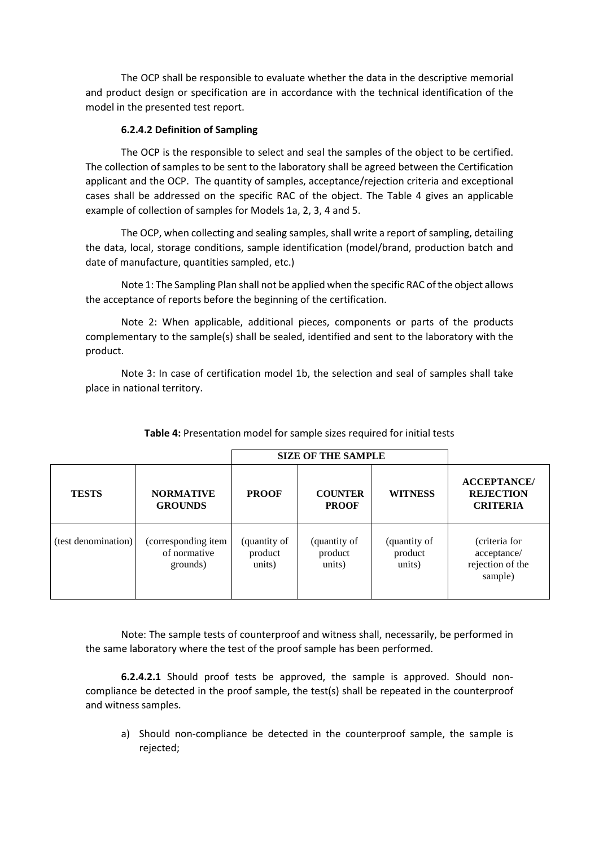The OCP shall be responsible to evaluate whether the data in the descriptive memorial and product design or specification are in accordance with the technical identification of the model in the presented test report.

## **6.2.4.2 Definition of Sampling**

The OCP is the responsible to select and seal the samples of the object to be certified. The collection of samples to be sent to the laboratory shall be agreed between the Certification applicant and the OCP. The quantity of samples, acceptance/rejection criteria and exceptional cases shall be addressed on the specific RAC of the object. The Table 4 gives an applicable example of collection of samples for Models 1a, 2, 3, 4 and 5.

The OCP, when collecting and sealing samples, shall write a report of sampling, detailing the data, local, storage conditions, sample identification (model/brand, production batch and date of manufacture, quantities sampled, etc.)

Note 1: The Sampling Plan shall not be applied when the specific RAC of the object allows the acceptance of reports before the beginning of the certification.

Note 2: When applicable, additional pieces, components or parts of the products complementary to the sample(s) shall be sealed, identified and sent to the laboratory with the product.

Note 3: In case of certification model 1b, the selection and seal of samples shall take place in national territory.

|                     | <b>SIZE OF THE SAMPLE</b>                       |                                   |                                   |                                   |                                                             |
|---------------------|-------------------------------------------------|-----------------------------------|-----------------------------------|-----------------------------------|-------------------------------------------------------------|
| <b>TESTS</b>        | <b>NORMATIVE</b><br><b>GROUNDS</b>              | <b>PROOF</b>                      | <b>COUNTER</b><br><b>PROOF</b>    | <b>WITNESS</b>                    | <b>ACCEPTANCE</b><br><b>REJECTION</b><br><b>CRITERIA</b>    |
| (test denomination) | (corresponding item<br>of normative<br>grounds) | (quantity of<br>product<br>units) | (quantity of<br>product<br>units) | (quantity of<br>product<br>units) | (criteria for<br>acceptance/<br>rejection of the<br>sample) |

# **Table 4:** Presentation model for sample sizes required for initial tests

Note: The sample tests of counterproof and witness shall, necessarily, be performed in the same laboratory where the test of the proof sample has been performed.

**6.2.4.2.1** Should proof tests be approved, the sample is approved. Should noncompliance be detected in the proof sample, the test(s) shall be repeated in the counterproof and witness samples.

a) Should non-compliance be detected in the counterproof sample, the sample is rejected;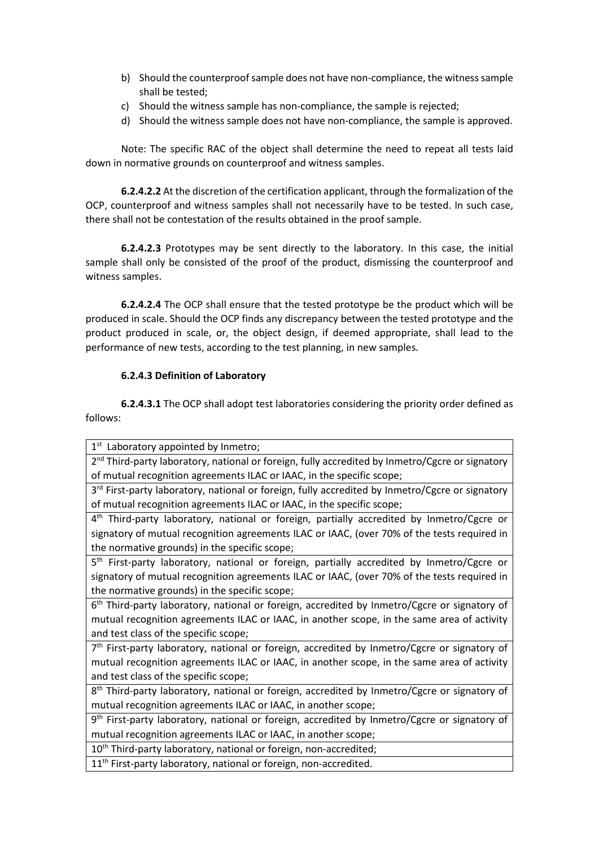- b) Should the counterproofsample does not have non-compliance, the witness sample shall be tested;
- c) Should the witness sample has non-compliance, the sample is rejected;
- d) Should the witness sample does not have non-compliance, the sample is approved.

Note: The specific RAC of the object shall determine the need to repeat all tests laid down in normative grounds on counterproof and witness samples.

**6.2.4.2.2** At the discretion of the certification applicant, through the formalization of the OCP, counterproof and witness samples shall not necessarily have to be tested. In such case, there shall not be contestation of the results obtained in the proof sample.

**6.2.4.2.3** Prototypes may be sent directly to the laboratory. In this case, the initial sample shall only be consisted of the proof of the product, dismissing the counterproof and witness samples.

**6.2.4.2.4** The OCP shall ensure that the tested prototype be the product which will be produced in scale. Should the OCP finds any discrepancy between the tested prototype and the product produced in scale, or, the object design, if deemed appropriate, shall lead to the performance of new tests, according to the test planning, in new samples.

## **6.2.4.3 Definition of Laboratory**

**6.2.4.3.1** The OCP shall adopt test laboratories considering the priority order defined as follows:

1<sup>st</sup> Laboratory appointed by Inmetro;

2<sup>nd</sup> Third-party laboratory, national or foreign, fully accredited by Inmetro/Cgcre or signatory of mutual recognition agreements ILAC or IAAC, in the specific scope;

3<sup>rd</sup> First-party laboratory, national or foreign, fully accredited by Inmetro/Cgcre or signatory of mutual recognition agreements ILAC or IAAC, in the specific scope;

4<sup>th</sup> Third-party laboratory, national or foreign, partially accredited by Inmetro/Cgcre or signatory of mutual recognition agreements ILAC or IAAC, (over 70% of the tests required in the normative grounds) in the specific scope;

5<sup>th</sup> First-party laboratory, national or foreign, partially accredited by Inmetro/Cgcre or signatory of mutual recognition agreements ILAC or IAAC, (over 70% of the tests required in the normative grounds) in the specific scope;

6th Third-party laboratory, national or foreign, accredited by Inmetro/Cgcre or signatory of mutual recognition agreements ILAC or IAAC, in another scope, in the same area of activity and test class of the specific scope;

7th First-party laboratory, national or foreign, accredited by Inmetro/Cgcre or signatory of mutual recognition agreements ILAC or IAAC, in another scope, in the same area of activity and test class of the specific scope;

8<sup>th</sup> Third-party laboratory, national or foreign, accredited by Inmetro/Cgcre or signatory of mutual recognition agreements ILAC or IAAC, in another scope;

9th First-party laboratory, national or foreign, accredited by Inmetro/Cgcre or signatory of mutual recognition agreements ILAC or IAAC, in another scope;

10<sup>th</sup> Third-party laboratory, national or foreign, non-accredited;

11<sup>th</sup> First-party laboratory, national or foreign, non-accredited.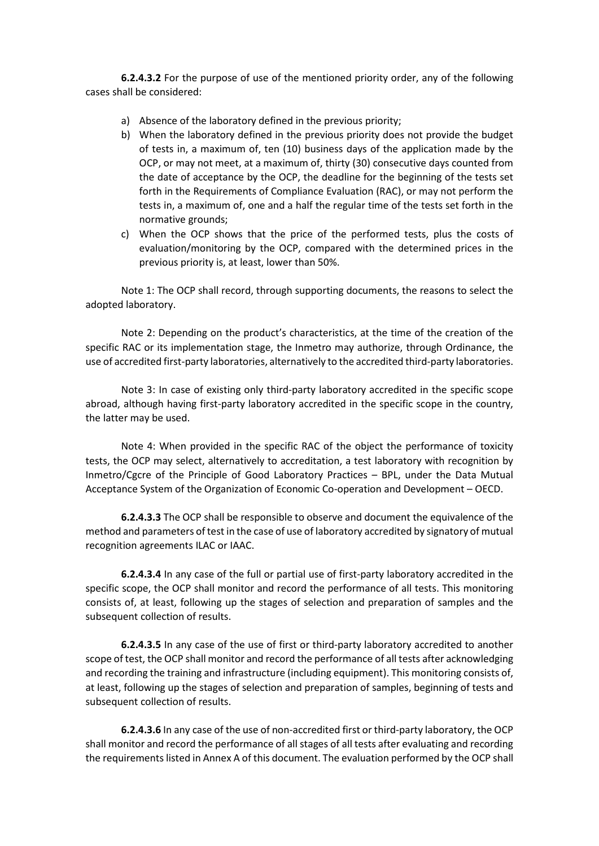**6.2.4.3.2** For the purpose of use of the mentioned priority order, any of the following cases shall be considered:

- a) Absence of the laboratory defined in the previous priority;
- b) When the laboratory defined in the previous priority does not provide the budget of tests in, a maximum of, ten (10) business days of the application made by the OCP, or may not meet, at a maximum of, thirty (30) consecutive days counted from the date of acceptance by the OCP, the deadline for the beginning of the tests set forth in the Requirements of Compliance Evaluation (RAC), or may not perform the tests in, a maximum of, one and a half the regular time of the tests set forth in the normative grounds;
- c) When the OCP shows that the price of the performed tests, plus the costs of evaluation/monitoring by the OCP, compared with the determined prices in the previous priority is, at least, lower than 50%.

Note 1: The OCP shall record, through supporting documents, the reasons to select the adopted laboratory.

Note 2: Depending on the product's characteristics, at the time of the creation of the specific RAC or its implementation stage, the Inmetro may authorize, through Ordinance, the use of accredited first-party laboratories, alternatively to the accredited third-party laboratories.

Note 3: In case of existing only third-party laboratory accredited in the specific scope abroad, although having first-party laboratory accredited in the specific scope in the country, the latter may be used.

Note 4: When provided in the specific RAC of the object the performance of toxicity tests, the OCP may select, alternatively to accreditation, a test laboratory with recognition by Inmetro/Cgcre of the Principle of Good Laboratory Practices – BPL, under the Data Mutual Acceptance System of the Organization of Economic Co-operation and Development – OECD.

**6.2.4.3.3** The OCP shall be responsible to observe and document the equivalence of the method and parameters of test in the case of use of laboratory accredited by signatory of mutual recognition agreements ILAC or IAAC.

**6.2.4.3.4** In any case of the full or partial use of first-party laboratory accredited in the specific scope, the OCP shall monitor and record the performance of all tests. This monitoring consists of, at least, following up the stages of selection and preparation of samples and the subsequent collection of results.

**6.2.4.3.5** In any case of the use of first or third-party laboratory accredited to another scope of test, the OCP shall monitor and record the performance of all tests after acknowledging and recording the training and infrastructure (including equipment). This monitoring consists of, at least, following up the stages of selection and preparation of samples, beginning of tests and subsequent collection of results.

**6.2.4.3.6** In any case of the use of non-accredited first or third-party laboratory, the OCP shall monitor and record the performance of all stages of all tests after evaluating and recording the requirements listed in Annex A of this document. The evaluation performed by the OCP shall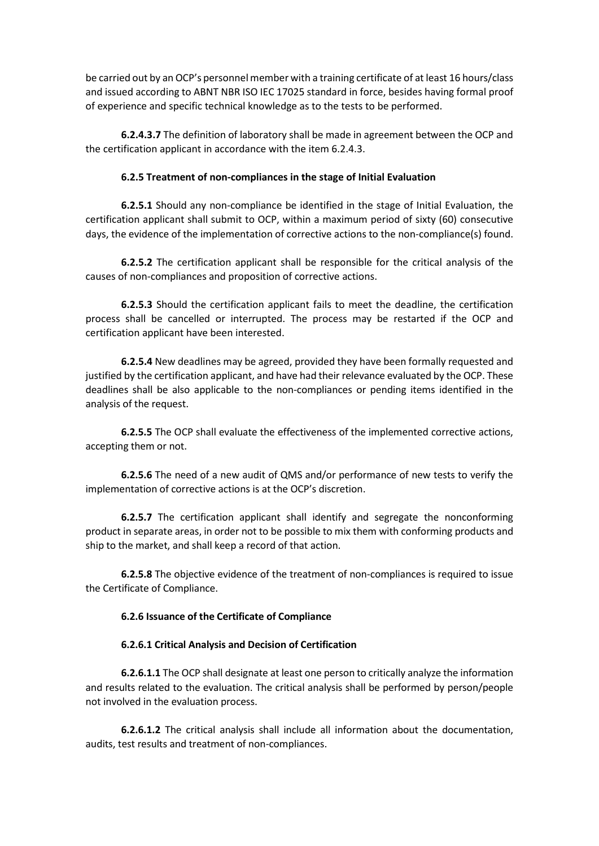be carried out by an OCP's personnel member with a training certificate of at least 16 hours/class and issued according to ABNT NBR ISO IEC 17025 standard in force, besides having formal proof of experience and specific technical knowledge as to the tests to be performed.

**6.2.4.3.7** The definition of laboratory shall be made in agreement between the OCP and the certification applicant in accordance with the item 6.2.4.3.

## **6.2.5 Treatment of non-compliances in the stage of Initial Evaluation**

**6.2.5.1** Should any non-compliance be identified in the stage of Initial Evaluation, the certification applicant shall submit to OCP, within a maximum period of sixty (60) consecutive days, the evidence of the implementation of corrective actions to the non-compliance(s) found.

**6.2.5.2** The certification applicant shall be responsible for the critical analysis of the causes of non-compliances and proposition of corrective actions.

**6.2.5.3** Should the certification applicant fails to meet the deadline, the certification process shall be cancelled or interrupted. The process may be restarted if the OCP and certification applicant have been interested.

**6.2.5.4** New deadlines may be agreed, provided they have been formally requested and justified by the certification applicant, and have had their relevance evaluated by the OCP. These deadlines shall be also applicable to the non-compliances or pending items identified in the analysis of the request.

**6.2.5.5** The OCP shall evaluate the effectiveness of the implemented corrective actions, accepting them or not.

**6.2.5.6** The need of a new audit of QMS and/or performance of new tests to verify the implementation of corrective actions is at the OCP's discretion.

**6.2.5.7** The certification applicant shall identify and segregate the nonconforming product in separate areas, in order not to be possible to mix them with conforming products and ship to the market, and shall keep a record of that action.

**6.2.5.8** The objective evidence of the treatment of non-compliances is required to issue the Certificate of Compliance.

# **6.2.6 Issuance of the Certificate of Compliance**

### **6.2.6.1 Critical Analysis and Decision of Certification**

**6.2.6.1.1** The OCP shall designate at least one person to critically analyze the information and results related to the evaluation. The critical analysis shall be performed by person/people not involved in the evaluation process.

**6.2.6.1.2** The critical analysis shall include all information about the documentation, audits, test results and treatment of non-compliances.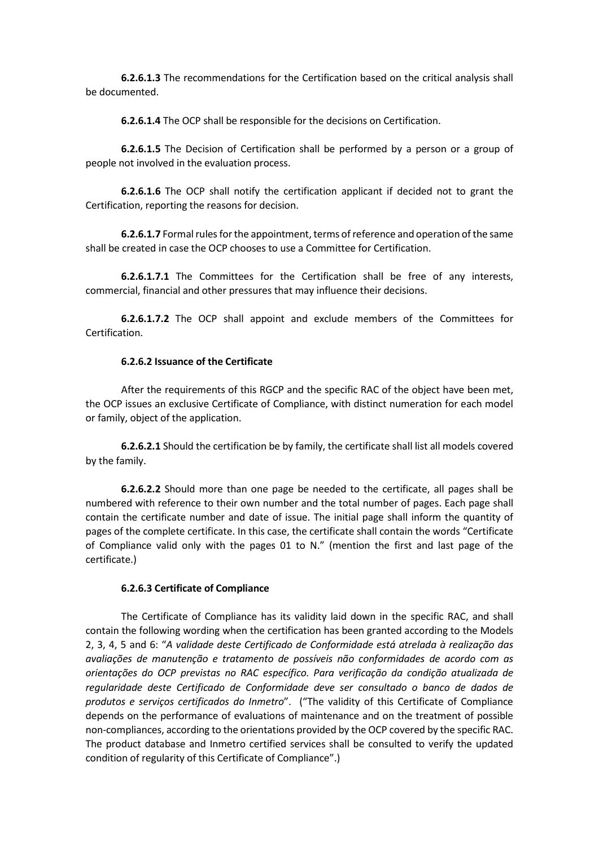**6.2.6.1.3** The recommendations for the Certification based on the critical analysis shall be documented.

**6.2.6.1.4** The OCP shall be responsible for the decisions on Certification.

**6.2.6.1.5** The Decision of Certification shall be performed by a person or a group of people not involved in the evaluation process.

**6.2.6.1.6** The OCP shall notify the certification applicant if decided not to grant the Certification, reporting the reasons for decision.

**6.2.6.1.7** Formal rules for the appointment, terms of reference and operation of the same shall be created in case the OCP chooses to use a Committee for Certification.

**6.2.6.1.7.1** The Committees for the Certification shall be free of any interests, commercial, financial and other pressures that may influence their decisions.

**6.2.6.1.7.2** The OCP shall appoint and exclude members of the Committees for Certification.

#### **6.2.6.2 Issuance of the Certificate**

After the requirements of this RGCP and the specific RAC of the object have been met, the OCP issues an exclusive Certificate of Compliance, with distinct numeration for each model or family, object of the application.

**6.2.6.2.1** Should the certification be by family, the certificate shall list all models covered by the family.

**6.2.6.2.2** Should more than one page be needed to the certificate, all pages shall be numbered with reference to their own number and the total number of pages. Each page shall contain the certificate number and date of issue. The initial page shall inform the quantity of pages of the complete certificate. In this case, the certificate shall contain the words "Certificate of Compliance valid only with the pages 01 to N." (mention the first and last page of the certificate.)

### **6.2.6.3 Certificate of Compliance**

The Certificate of Compliance has its validity laid down in the specific RAC, and shall contain the following wording when the certification has been granted according to the Models 2, 3, 4, 5 and 6: "*A validade deste Certificado de Conformidade está atrelada à realização das avaliações de manutenção e tratamento de possíveis não conformidades de acordo com as orientações do OCP previstas no RAC específico. Para verificação da condição atualizada de regularidade deste Certificado de Conformidade deve ser consultado o banco de dados de produtos e serviços certificados do Inmetro*". ("The validity of this Certificate of Compliance depends on the performance of evaluations of maintenance and on the treatment of possible non-compliances, according to the orientations provided by the OCP covered by the specific RAC. The product database and Inmetro certified services shall be consulted to verify the updated condition of regularity of this Certificate of Compliance".)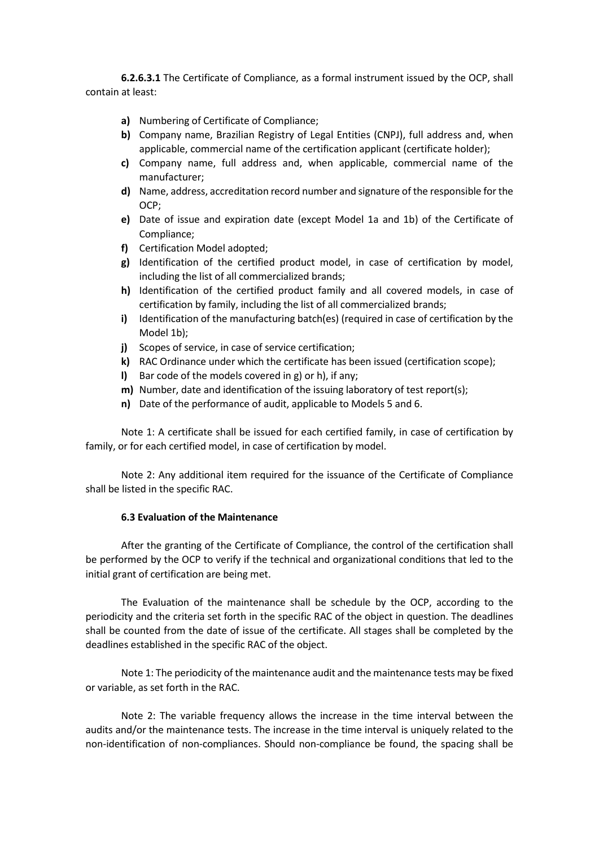**6.2.6.3.1** The Certificate of Compliance, as a formal instrument issued by the OCP, shall contain at least:

- **a)** Numbering of Certificate of Compliance;
- **b)** Company name, Brazilian Registry of Legal Entities (CNPJ), full address and, when applicable, commercial name of the certification applicant (certificate holder);
- **c)** Company name, full address and, when applicable, commercial name of the manufacturer;
- **d)** Name, address, accreditation record number and signature of the responsible for the OCP;
- **e)** Date of issue and expiration date (except Model 1a and 1b) of the Certificate of Compliance;
- **f)** Certification Model adopted;
- **g)** Identification of the certified product model, in case of certification by model, including the list of all commercialized brands;
- **h)** Identification of the certified product family and all covered models, in case of certification by family, including the list of all commercialized brands;
- **i)** Identification of the manufacturing batch(es) (required in case of certification by the Model 1b);
- **j)** Scopes of service, in case of service certification;
- **k)** RAC Ordinance under which the certificate has been issued (certification scope);
- **l)** Bar code of the models covered in g) or h), if any;
- **m)** Number, date and identification of the issuing laboratory of test report(s);
- **n)** Date of the performance of audit, applicable to Models 5 and 6.

Note 1: A certificate shall be issued for each certified family, in case of certification by family, or for each certified model, in case of certification by model.

Note 2: Any additional item required for the issuance of the Certificate of Compliance shall be listed in the specific RAC.

### **6.3 Evaluation of the Maintenance**

After the granting of the Certificate of Compliance, the control of the certification shall be performed by the OCP to verify if the technical and organizational conditions that led to the initial grant of certification are being met.

The Evaluation of the maintenance shall be schedule by the OCP, according to the periodicity and the criteria set forth in the specific RAC of the object in question. The deadlines shall be counted from the date of issue of the certificate. All stages shall be completed by the deadlines established in the specific RAC of the object.

Note 1: The periodicity of the maintenance audit and the maintenance tests may be fixed or variable, as set forth in the RAC.

Note 2: The variable frequency allows the increase in the time interval between the audits and/or the maintenance tests. The increase in the time interval is uniquely related to the non-identification of non-compliances. Should non-compliance be found, the spacing shall be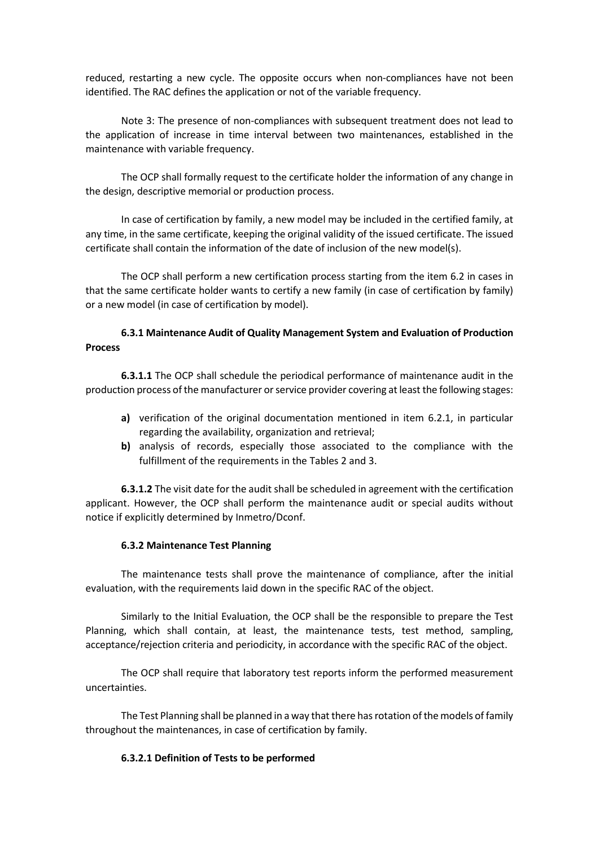reduced, restarting a new cycle. The opposite occurs when non-compliances have not been identified. The RAC defines the application or not of the variable frequency.

Note 3: The presence of non-compliances with subsequent treatment does not lead to the application of increase in time interval between two maintenances, established in the maintenance with variable frequency.

The OCP shall formally request to the certificate holder the information of any change in the design, descriptive memorial or production process.

In case of certification by family, a new model may be included in the certified family, at any time, in the same certificate, keeping the original validity of the issued certificate. The issued certificate shall contain the information of the date of inclusion of the new model(s).

The OCP shall perform a new certification process starting from the item 6.2 in cases in that the same certificate holder wants to certify a new family (in case of certification by family) or a new model (in case of certification by model).

# **6.3.1 Maintenance Audit of Quality Management System and Evaluation of Production Process**

**6.3.1.1** The OCP shall schedule the periodical performance of maintenance audit in the production process of the manufacturer or service provider covering at least the following stages:

- **a)** verification of the original documentation mentioned in item 6.2.1, in particular regarding the availability, organization and retrieval;
- **b)** analysis of records, especially those associated to the compliance with the fulfillment of the requirements in the Tables 2 and 3.

**6.3.1.2** The visit date for the audit shall be scheduled in agreement with the certification applicant. However, the OCP shall perform the maintenance audit or special audits without notice if explicitly determined by Inmetro/Dconf.

### **6.3.2 Maintenance Test Planning**

The maintenance tests shall prove the maintenance of compliance, after the initial evaluation, with the requirements laid down in the specific RAC of the object.

Similarly to the Initial Evaluation, the OCP shall be the responsible to prepare the Test Planning, which shall contain, at least, the maintenance tests, test method, sampling, acceptance/rejection criteria and periodicity, in accordance with the specific RAC of the object.

The OCP shall require that laboratory test reports inform the performed measurement uncertainties.

The Test Planning shall be planned in a way that there has rotation of the models of family throughout the maintenances, in case of certification by family.

### **6.3.2.1 Definition of Tests to be performed**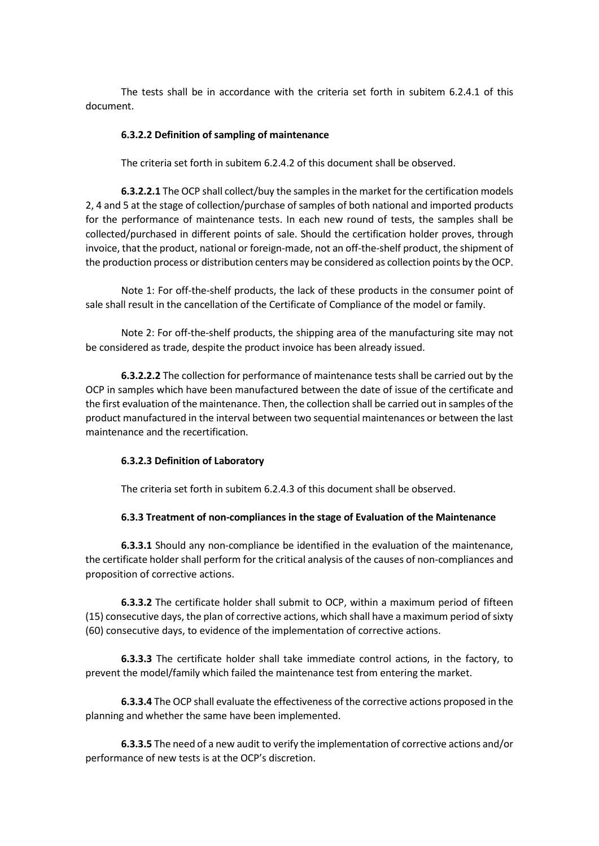The tests shall be in accordance with the criteria set forth in subitem 6.2.4.1 of this document.

#### **6.3.2.2 Definition of sampling of maintenance**

The criteria set forth in subitem 6.2.4.2 of this document shall be observed.

**6.3.2.2.1** The OCP shall collect/buy the samples in the market for the certification models 2, 4 and 5 at the stage of collection/purchase of samples of both national and imported products for the performance of maintenance tests. In each new round of tests, the samples shall be collected/purchased in different points of sale. Should the certification holder proves, through invoice, that the product, national or foreign-made, not an off-the-shelf product, the shipment of the production process or distribution centers may be considered as collection points by the OCP.

Note 1: For off-the-shelf products, the lack of these products in the consumer point of sale shall result in the cancellation of the Certificate of Compliance of the model or family.

Note 2: For off-the-shelf products, the shipping area of the manufacturing site may not be considered as trade, despite the product invoice has been already issued.

**6.3.2.2.2** The collection for performance of maintenance tests shall be carried out by the OCP in samples which have been manufactured between the date of issue of the certificate and the first evaluation of the maintenance. Then, the collection shall be carried out in samples of the product manufactured in the interval between two sequential maintenances or between the last maintenance and the recertification.

### **6.3.2.3 Definition of Laboratory**

The criteria set forth in subitem 6.2.4.3 of this document shall be observed.

#### **6.3.3 Treatment of non-compliances in the stage of Evaluation of the Maintenance**

**6.3.3.1** Should any non-compliance be identified in the evaluation of the maintenance, the certificate holder shall perform for the critical analysis of the causes of non-compliances and proposition of corrective actions.

**6.3.3.2** The certificate holder shall submit to OCP, within a maximum period of fifteen (15) consecutive days, the plan of corrective actions, which shall have a maximum period of sixty (60) consecutive days, to evidence of the implementation of corrective actions.

**6.3.3.3** The certificate holder shall take immediate control actions, in the factory, to prevent the model/family which failed the maintenance test from entering the market.

**6.3.3.4** The OCP shall evaluate the effectiveness of the corrective actions proposed in the planning and whether the same have been implemented.

**6.3.3.5** The need of a new audit to verify the implementation of corrective actions and/or performance of new tests is at the OCP's discretion.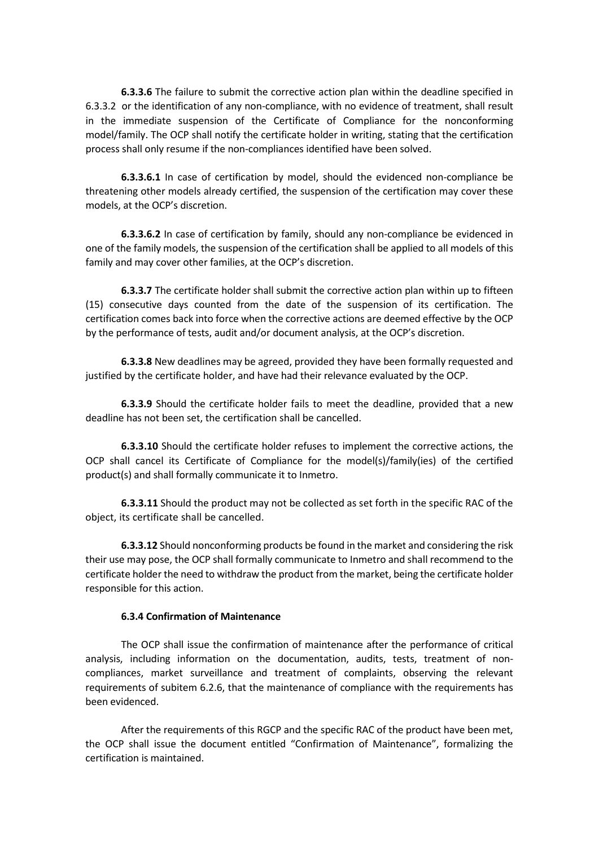**6.3.3.6** The failure to submit the corrective action plan within the deadline specified in 6.3.3.2 or the identification of any non-compliance, with no evidence of treatment, shall result in the immediate suspension of the Certificate of Compliance for the nonconforming model/family. The OCP shall notify the certificate holder in writing, stating that the certification process shall only resume if the non-compliances identified have been solved.

**6.3.3.6.1** In case of certification by model, should the evidenced non-compliance be threatening other models already certified, the suspension of the certification may cover these models, at the OCP's discretion.

**6.3.3.6.2** In case of certification by family, should any non-compliance be evidenced in one of the family models, the suspension of the certification shall be applied to all models of this family and may cover other families, at the OCP's discretion.

**6.3.3.7** The certificate holder shall submit the corrective action plan within up to fifteen (15) consecutive days counted from the date of the suspension of its certification. The certification comes back into force when the corrective actions are deemed effective by the OCP by the performance of tests, audit and/or document analysis, at the OCP's discretion.

**6.3.3.8** New deadlines may be agreed, provided they have been formally requested and justified by the certificate holder, and have had their relevance evaluated by the OCP.

**6.3.3.9** Should the certificate holder fails to meet the deadline, provided that a new deadline has not been set, the certification shall be cancelled.

**6.3.3.10** Should the certificate holder refuses to implement the corrective actions, the OCP shall cancel its Certificate of Compliance for the model(s)/family(ies) of the certified product(s) and shall formally communicate it to Inmetro.

**6.3.3.11** Should the product may not be collected as set forth in the specific RAC of the object, its certificate shall be cancelled.

**6.3.3.12** Should nonconforming products be found in the market and considering the risk their use may pose, the OCP shall formally communicate to Inmetro and shall recommend to the certificate holder the need to withdraw the product from the market, being the certificate holder responsible for this action.

### **6.3.4 Confirmation of Maintenance**

The OCP shall issue the confirmation of maintenance after the performance of critical analysis, including information on the documentation, audits, tests, treatment of noncompliances, market surveillance and treatment of complaints, observing the relevant requirements of subitem 6.2.6, that the maintenance of compliance with the requirements has been evidenced.

After the requirements of this RGCP and the specific RAC of the product have been met, the OCP shall issue the document entitled "Confirmation of Maintenance", formalizing the certification is maintained.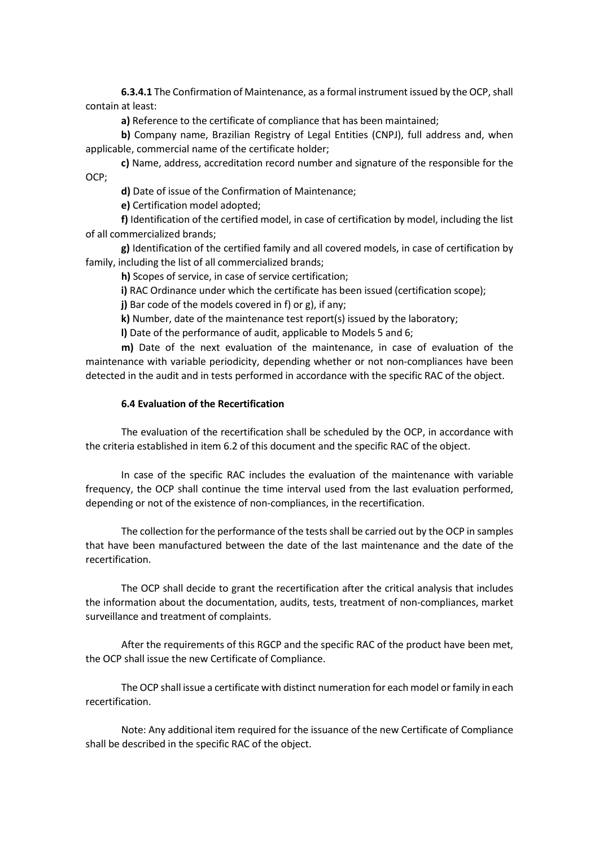**6.3.4.1** The Confirmation of Maintenance, as a formal instrument issued by the OCP, shall contain at least:

**a)** Reference to the certificate of compliance that has been maintained;

**b)** Company name, Brazilian Registry of Legal Entities (CNPJ), full address and, when applicable, commercial name of the certificate holder;

**c)** Name, address, accreditation record number and signature of the responsible for the OCP;

**d)** Date of issue of the Confirmation of Maintenance;

**e)** Certification model adopted;

**f)** Identification of the certified model, in case of certification by model, including the list of all commercialized brands;

**g)** Identification of the certified family and all covered models, in case of certification by family, including the list of all commercialized brands;

**h)** Scopes of service, in case of service certification;

**i)** RAC Ordinance under which the certificate has been issued (certification scope);

**j)** Bar code of the models covered in f) or g), if any;

**k)** Number, date of the maintenance test report(s) issued by the laboratory;

**l)** Date of the performance of audit, applicable to Models 5 and 6;

**m)** Date of the next evaluation of the maintenance, in case of evaluation of the maintenance with variable periodicity, depending whether or not non-compliances have been detected in the audit and in tests performed in accordance with the specific RAC of the object.

### **6.4 Evaluation of the Recertification**

The evaluation of the recertification shall be scheduled by the OCP, in accordance with the criteria established in item 6.2 of this document and the specific RAC of the object.

In case of the specific RAC includes the evaluation of the maintenance with variable frequency, the OCP shall continue the time interval used from the last evaluation performed, depending or not of the existence of non-compliances, in the recertification.

The collection for the performance of the tests shall be carried out by the OCP in samples that have been manufactured between the date of the last maintenance and the date of the recertification.

The OCP shall decide to grant the recertification after the critical analysis that includes the information about the documentation, audits, tests, treatment of non-compliances, market surveillance and treatment of complaints.

After the requirements of this RGCP and the specific RAC of the product have been met, the OCP shall issue the new Certificate of Compliance.

The OCP shall issue a certificate with distinct numeration for each model or family in each recertification.

Note: Any additional item required for the issuance of the new Certificate of Compliance shall be described in the specific RAC of the object.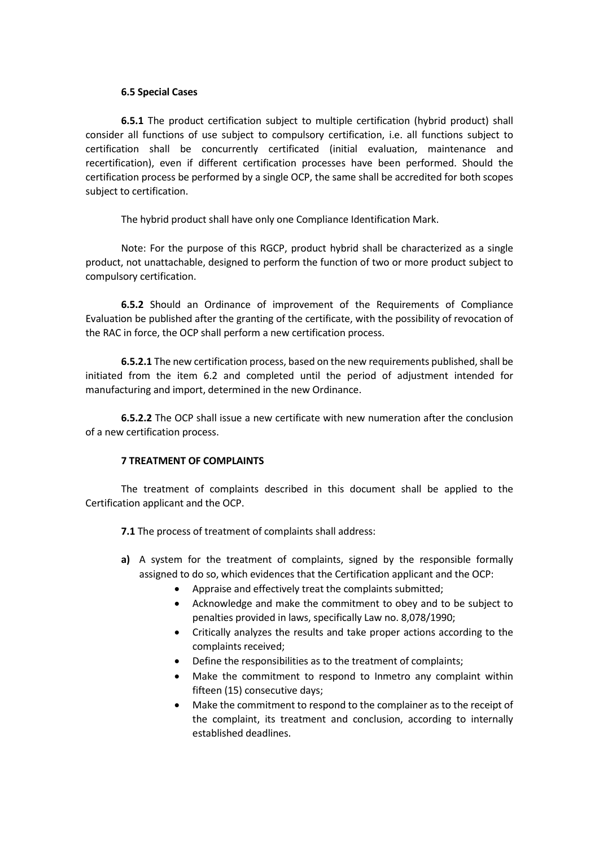### **6.5 Special Cases**

**6.5.1** The product certification subject to multiple certification (hybrid product) shall consider all functions of use subject to compulsory certification, i.e. all functions subject to certification shall be concurrently certificated (initial evaluation, maintenance and recertification), even if different certification processes have been performed. Should the certification process be performed by a single OCP, the same shall be accredited for both scopes subject to certification.

The hybrid product shall have only one Compliance Identification Mark.

Note: For the purpose of this RGCP, product hybrid shall be characterized as a single product, not unattachable, designed to perform the function of two or more product subject to compulsory certification.

**6.5.2** Should an Ordinance of improvement of the Requirements of Compliance Evaluation be published after the granting of the certificate, with the possibility of revocation of the RAC in force, the OCP shall perform a new certification process.

**6.5.2.1** The new certification process, based on the new requirements published, shall be initiated from the item 6.2 and completed until the period of adjustment intended for manufacturing and import, determined in the new Ordinance.

**6.5.2.2** The OCP shall issue a new certificate with new numeration after the conclusion of a new certification process.

### **7 TREATMENT OF COMPLAINTS**

The treatment of complaints described in this document shall be applied to the Certification applicant and the OCP.

**7.1** The process of treatment of complaints shall address:

- **a)** A system for the treatment of complaints, signed by the responsible formally assigned to do so, which evidences that the Certification applicant and the OCP:
	- Appraise and effectively treat the complaints submitted;
	- Acknowledge and make the commitment to obey and to be subject to penalties provided in laws, specifically Law no. 8,078/1990;
	- Critically analyzes the results and take proper actions according to the complaints received;
	- Define the responsibilities as to the treatment of complaints;
	- Make the commitment to respond to Inmetro any complaint within fifteen (15) consecutive days;
	- Make the commitment to respond to the complainer as to the receipt of the complaint, its treatment and conclusion, according to internally established deadlines.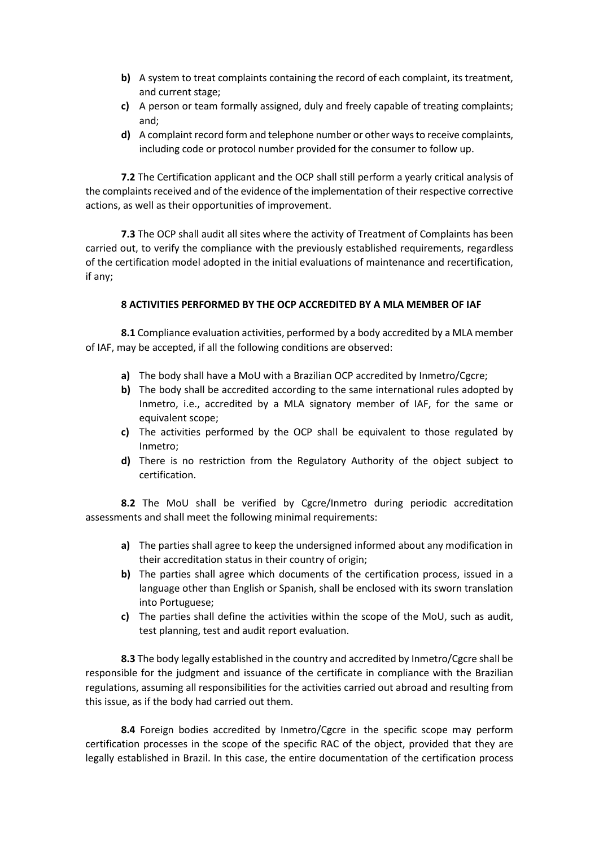- **b)** A system to treat complaints containing the record of each complaint, its treatment, and current stage;
- **c)** A person or team formally assigned, duly and freely capable of treating complaints; and;
- **d)** A complaint record form and telephone number or other ways to receive complaints, including code or protocol number provided for the consumer to follow up.

**7.2** The Certification applicant and the OCP shall still perform a yearly critical analysis of the complaints received and of the evidence of the implementation of their respective corrective actions, as well as their opportunities of improvement.

**7.3** The OCP shall audit all sites where the activity of Treatment of Complaints has been carried out, to verify the compliance with the previously established requirements, regardless of the certification model adopted in the initial evaluations of maintenance and recertification, if any;

## **8 ACTIVITIES PERFORMED BY THE OCP ACCREDITED BY A MLA MEMBER OF IAF**

**8.1** Compliance evaluation activities, performed by a body accredited by a MLA member of IAF, may be accepted, if all the following conditions are observed:

- **a)** The body shall have a MoU with a Brazilian OCP accredited by Inmetro/Cgcre;
- **b)** The body shall be accredited according to the same international rules adopted by Inmetro, i.e., accredited by a MLA signatory member of IAF, for the same or equivalent scope;
- **c)** The activities performed by the OCP shall be equivalent to those regulated by Inmetro;
- **d)** There is no restriction from the Regulatory Authority of the object subject to certification.

**8.2** The MoU shall be verified by Cgcre/Inmetro during periodic accreditation assessments and shall meet the following minimal requirements:

- **a)** The parties shall agree to keep the undersigned informed about any modification in their accreditation status in their country of origin;
- **b)** The parties shall agree which documents of the certification process, issued in a language other than English or Spanish, shall be enclosed with its sworn translation into Portuguese;
- **c)** The parties shall define the activities within the scope of the MoU, such as audit, test planning, test and audit report evaluation.

**8.3** The body legally established in the country and accredited by Inmetro/Cgcre shall be responsible for the judgment and issuance of the certificate in compliance with the Brazilian regulations, assuming all responsibilities for the activities carried out abroad and resulting from this issue, as if the body had carried out them.

**8.4** Foreign bodies accredited by Inmetro/Cgcre in the specific scope may perform certification processes in the scope of the specific RAC of the object, provided that they are legally established in Brazil. In this case, the entire documentation of the certification process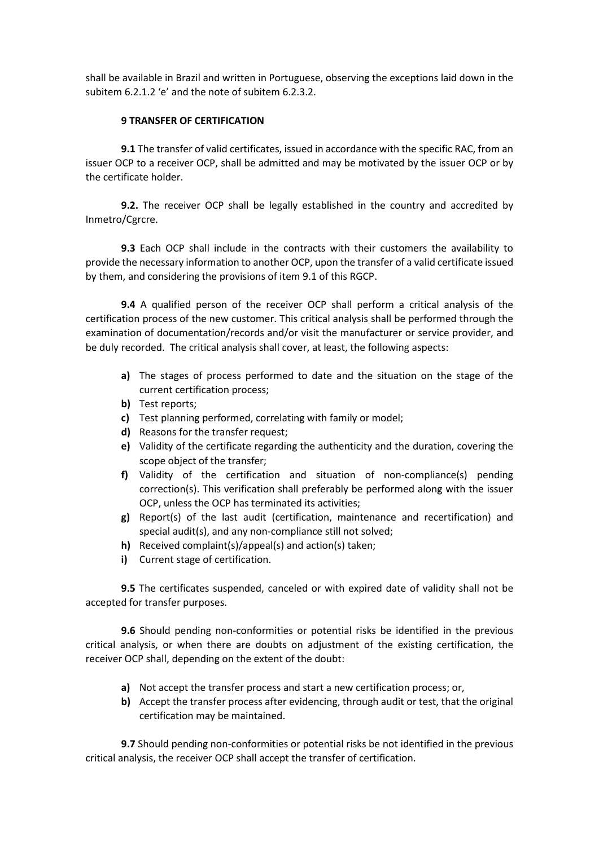shall be available in Brazil and written in Portuguese, observing the exceptions laid down in the subitem 6.2.1.2 'e' and the note of subitem 6.2.3.2.

## **9 TRANSFER OF CERTIFICATION**

**9.1** The transfer of valid certificates, issued in accordance with the specific RAC, from an issuer OCP to a receiver OCP, shall be admitted and may be motivated by the issuer OCP or by the certificate holder.

**9.2.** The receiver OCP shall be legally established in the country and accredited by Inmetro/Cgrcre.

**9.3** Each OCP shall include in the contracts with their customers the availability to provide the necessary information to another OCP, upon the transfer of a valid certificate issued by them, and considering the provisions of item 9.1 of this RGCP.

**9.4** A qualified person of the receiver OCP shall perform a critical analysis of the certification process of the new customer. This critical analysis shall be performed through the examination of documentation/records and/or visit the manufacturer or service provider, and be duly recorded. The critical analysis shall cover, at least, the following aspects:

- **a)** The stages of process performed to date and the situation on the stage of the current certification process;
- **b)** Test reports;
- **c)** Test planning performed, correlating with family or model;
- **d)** Reasons for the transfer request;
- **e)** Validity of the certificate regarding the authenticity and the duration, covering the scope object of the transfer;
- **f)** Validity of the certification and situation of non-compliance(s) pending correction(s). This verification shall preferably be performed along with the issuer OCP, unless the OCP has terminated its activities;
- **g)** Report(s) of the last audit (certification, maintenance and recertification) and special audit(s), and any non-compliance still not solved;
- **h)** Received complaint(s)/appeal(s) and action(s) taken;
- **i)** Current stage of certification.

**9.5** The certificates suspended, canceled or with expired date of validity shall not be accepted for transfer purposes.

**9.6** Should pending non-conformities or potential risks be identified in the previous critical analysis, or when there are doubts on adjustment of the existing certification, the receiver OCP shall, depending on the extent of the doubt:

- **a)** Not accept the transfer process and start a new certification process; or,
- **b)** Accept the transfer process after evidencing, through audit or test, that the original certification may be maintained.

**9.7** Should pending non-conformities or potential risks be not identified in the previous critical analysis, the receiver OCP shall accept the transfer of certification.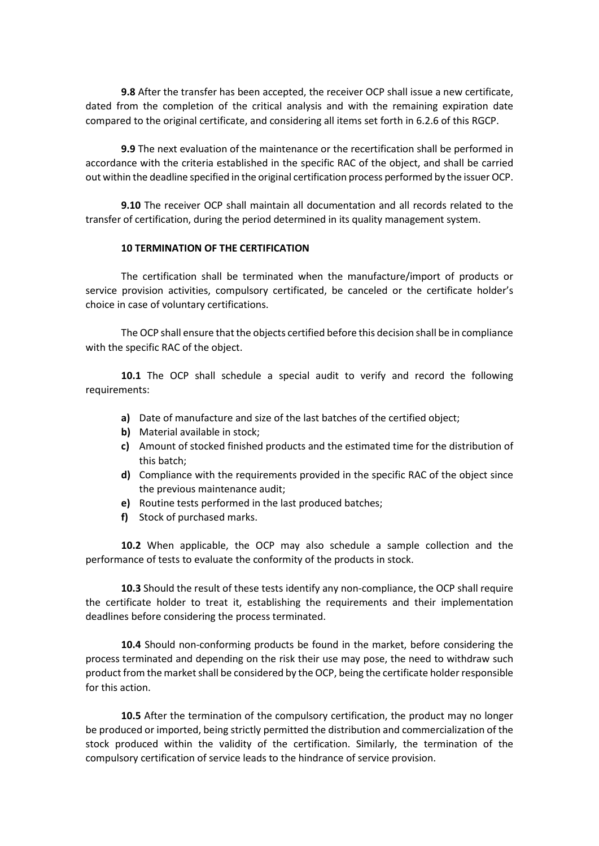**9.8** After the transfer has been accepted, the receiver OCP shall issue a new certificate, dated from the completion of the critical analysis and with the remaining expiration date compared to the original certificate, and considering all items set forth in 6.2.6 of this RGCP.

**9.9** The next evaluation of the maintenance or the recertification shall be performed in accordance with the criteria established in the specific RAC of the object, and shall be carried out within the deadline specified in the original certification process performed by the issuer OCP.

**9.10** The receiver OCP shall maintain all documentation and all records related to the transfer of certification, during the period determined in its quality management system.

### **10 TERMINATION OF THE CERTIFICATION**

The certification shall be terminated when the manufacture/import of products or service provision activities, compulsory certificated, be canceled or the certificate holder's choice in case of voluntary certifications.

The OCP shall ensure that the objects certified before this decision shall be in compliance with the specific RAC of the object.

**10.1** The OCP shall schedule a special audit to verify and record the following requirements:

- **a)** Date of manufacture and size of the last batches of the certified object;
- **b)** Material available in stock;
- **c)** Amount of stocked finished products and the estimated time for the distribution of this batch;
- **d)** Compliance with the requirements provided in the specific RAC of the object since the previous maintenance audit;
- **e)** Routine tests performed in the last produced batches;
- **f)** Stock of purchased marks.

**10.2** When applicable, the OCP may also schedule a sample collection and the performance of tests to evaluate the conformity of the products in stock.

**10.3** Should the result of these tests identify any non-compliance, the OCP shall require the certificate holder to treat it, establishing the requirements and their implementation deadlines before considering the process terminated.

**10.4** Should non-conforming products be found in the market, before considering the process terminated and depending on the risk their use may pose, the need to withdraw such product from the market shall be considered by the OCP, being the certificate holderresponsible for this action.

**10.5** After the termination of the compulsory certification, the product may no longer be produced or imported, being strictly permitted the distribution and commercialization of the stock produced within the validity of the certification. Similarly, the termination of the compulsory certification of service leads to the hindrance of service provision.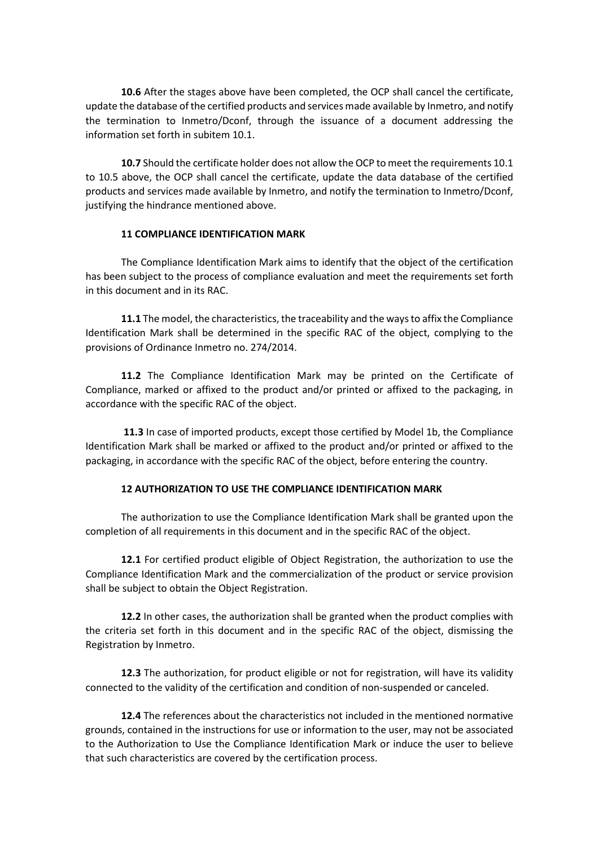**10.6** After the stages above have been completed, the OCP shall cancel the certificate, update the database of the certified products and services made available by Inmetro, and notify the termination to Inmetro/Dconf, through the issuance of a document addressing the information set forth in subitem 10.1.

**10.7** Should the certificate holder does not allow the OCP to meet the requirements 10.1 to 10.5 above, the OCP shall cancel the certificate, update the data database of the certified products and services made available by Inmetro, and notify the termination to Inmetro/Dconf, justifying the hindrance mentioned above.

## **11 COMPLIANCE IDENTIFICATION MARK**

The Compliance Identification Mark aims to identify that the object of the certification has been subject to the process of compliance evaluation and meet the requirements set forth in this document and in its RAC.

**11.1** The model, the characteristics, the traceability and the ways to affix the Compliance Identification Mark shall be determined in the specific RAC of the object, complying to the provisions of Ordinance Inmetro no. 274/2014.

**11.2** The Compliance Identification Mark may be printed on the Certificate of Compliance, marked or affixed to the product and/or printed or affixed to the packaging, in accordance with the specific RAC of the object.

**11.3** In case of imported products, except those certified by Model 1b, the Compliance Identification Mark shall be marked or affixed to the product and/or printed or affixed to the packaging, in accordance with the specific RAC of the object, before entering the country.

# **12 AUTHORIZATION TO USE THE COMPLIANCE IDENTIFICATION MARK**

The authorization to use the Compliance Identification Mark shall be granted upon the completion of all requirements in this document and in the specific RAC of the object.

**12.1** For certified product eligible of Object Registration, the authorization to use the Compliance Identification Mark and the commercialization of the product or service provision shall be subject to obtain the Object Registration.

**12.2** In other cases, the authorization shall be granted when the product complies with the criteria set forth in this document and in the specific RAC of the object, dismissing the Registration by Inmetro.

**12.3** The authorization, for product eligible or not for registration, will have its validity connected to the validity of the certification and condition of non-suspended or canceled.

**12.4** The references about the characteristics not included in the mentioned normative grounds, contained in the instructions for use or information to the user, may not be associated to the Authorization to Use the Compliance Identification Mark or induce the user to believe that such characteristics are covered by the certification process.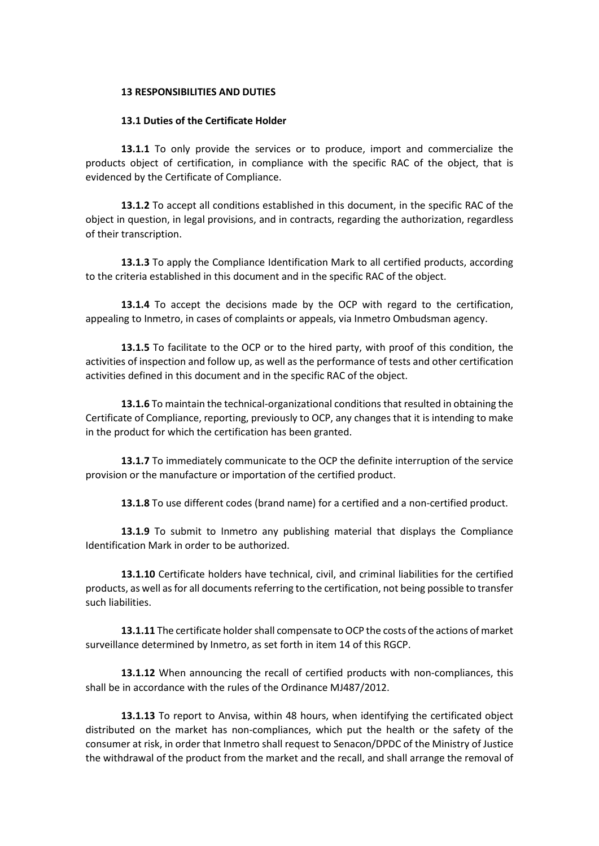#### **13 RESPONSIBILITIES AND DUTIES**

#### **13.1 Duties of the Certificate Holder**

**13.1.1** To only provide the services or to produce, import and commercialize the products object of certification, in compliance with the specific RAC of the object, that is evidenced by the Certificate of Compliance.

**13.1.2** To accept all conditions established in this document, in the specific RAC of the object in question, in legal provisions, and in contracts, regarding the authorization, regardless of their transcription.

**13.1.3** To apply the Compliance Identification Mark to all certified products, according to the criteria established in this document and in the specific RAC of the object.

**13.1.4** To accept the decisions made by the OCP with regard to the certification, appealing to Inmetro, in cases of complaints or appeals, via Inmetro Ombudsman agency.

**13.1.5** To facilitate to the OCP or to the hired party, with proof of this condition, the activities of inspection and follow up, as well as the performance of tests and other certification activities defined in this document and in the specific RAC of the object.

**13.1.6** To maintain the technical-organizational conditions that resulted in obtaining the Certificate of Compliance, reporting, previously to OCP, any changes that it is intending to make in the product for which the certification has been granted.

**13.1.7** To immediately communicate to the OCP the definite interruption of the service provision or the manufacture or importation of the certified product.

**13.1.8** To use different codes (brand name) for a certified and a non-certified product.

**13.1.9** To submit to Inmetro any publishing material that displays the Compliance Identification Mark in order to be authorized.

**13.1.10** Certificate holders have technical, civil, and criminal liabilities for the certified products, as well as for all documents referring to the certification, not being possible to transfer such liabilities.

**13.1.11** The certificate holder shall compensate to OCP the costs of the actions of market surveillance determined by Inmetro, as set forth in item 14 of this RGCP.

**13.1.12** When announcing the recall of certified products with non-compliances, this shall be in accordance with the rules of the Ordinance MJ487/2012.

**13.1.13** To report to Anvisa, within 48 hours, when identifying the certificated object distributed on the market has non-compliances, which put the health or the safety of the consumer at risk, in order that Inmetro shall request to Senacon/DPDC of the Ministry of Justice the withdrawal of the product from the market and the recall, and shall arrange the removal of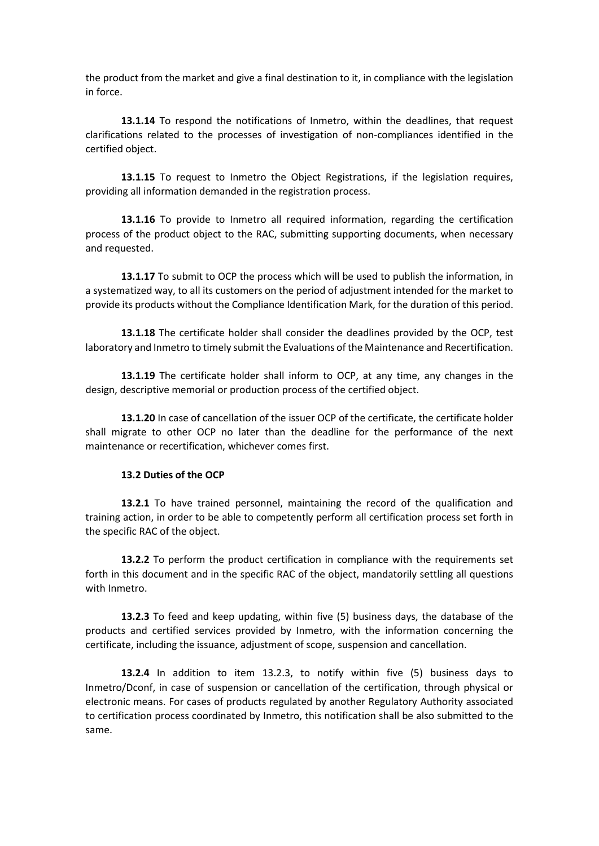the product from the market and give a final destination to it, in compliance with the legislation in force.

**13.1.14** To respond the notifications of Inmetro, within the deadlines, that request clarifications related to the processes of investigation of non-compliances identified in the certified object.

**13.1.15** To request to Inmetro the Object Registrations, if the legislation requires, providing all information demanded in the registration process.

**13.1.16** To provide to Inmetro all required information, regarding the certification process of the product object to the RAC, submitting supporting documents, when necessary and requested.

**13.1.17** To submit to OCP the process which will be used to publish the information, in a systematized way, to all its customers on the period of adjustment intended for the market to provide its products without the Compliance Identification Mark, for the duration of this period.

**13.1.18** The certificate holder shall consider the deadlines provided by the OCP, test laboratory and Inmetro to timely submit the Evaluations of the Maintenance and Recertification.

**13.1.19** The certificate holder shall inform to OCP, at any time, any changes in the design, descriptive memorial or production process of the certified object.

**13.1.20** In case of cancellation of the issuer OCP of the certificate, the certificate holder shall migrate to other OCP no later than the deadline for the performance of the next maintenance or recertification, whichever comes first.

### **13.2 Duties of the OCP**

**13.2.1** To have trained personnel, maintaining the record of the qualification and training action, in order to be able to competently perform all certification process set forth in the specific RAC of the object.

**13.2.2** To perform the product certification in compliance with the requirements set forth in this document and in the specific RAC of the object, mandatorily settling all questions with Inmetro.

**13.2.3** To feed and keep updating, within five (5) business days, the database of the products and certified services provided by Inmetro, with the information concerning the certificate, including the issuance, adjustment of scope, suspension and cancellation.

**13.2.4** In addition to item 13.2.3, to notify within five (5) business days to Inmetro/Dconf, in case of suspension or cancellation of the certification, through physical or electronic means. For cases of products regulated by another Regulatory Authority associated to certification process coordinated by Inmetro, this notification shall be also submitted to the same.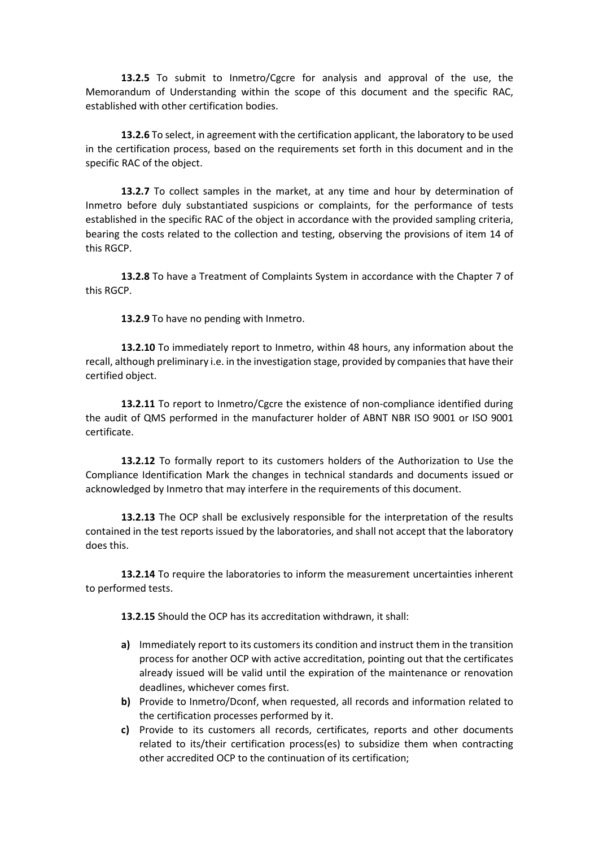**13.2.5** To submit to Inmetro/Cgcre for analysis and approval of the use, the Memorandum of Understanding within the scope of this document and the specific RAC, established with other certification bodies.

**13.2.6** To select, in agreement with the certification applicant, the laboratory to be used in the certification process, based on the requirements set forth in this document and in the specific RAC of the object.

**13.2.7** To collect samples in the market, at any time and hour by determination of Inmetro before duly substantiated suspicions or complaints, for the performance of tests established in the specific RAC of the object in accordance with the provided sampling criteria, bearing the costs related to the collection and testing, observing the provisions of item 14 of this RGCP.

**13.2.8** To have a Treatment of Complaints System in accordance with the Chapter 7 of this RGCP.

**13.2.9** To have no pending with Inmetro.

**13.2.10** To immediately report to Inmetro, within 48 hours, any information about the recall, although preliminary i.e. in the investigation stage, provided by companies that have their certified object.

13.2.11 To report to Inmetro/Cgcre the existence of non-compliance identified during the audit of QMS performed in the manufacturer holder of ABNT NBR ISO 9001 or ISO 9001 certificate.

**13.2.12** To formally report to its customers holders of the Authorization to Use the Compliance Identification Mark the changes in technical standards and documents issued or acknowledged by Inmetro that may interfere in the requirements of this document.

**13.2.13** The OCP shall be exclusively responsible for the interpretation of the results contained in the test reports issued by the laboratories, and shall not accept that the laboratory does this.

**13.2.14** To require the laboratories to inform the measurement uncertainties inherent to performed tests.

**13.2.15** Should the OCP has its accreditation withdrawn, it shall:

- **a)** Immediately report to its customers its condition and instruct them in the transition process for another OCP with active accreditation, pointing out that the certificates already issued will be valid until the expiration of the maintenance or renovation deadlines, whichever comes first.
- **b)** Provide to Inmetro/Dconf, when requested, all records and information related to the certification processes performed by it.
- **c)** Provide to its customers all records, certificates, reports and other documents related to its/their certification process(es) to subsidize them when contracting other accredited OCP to the continuation of its certification;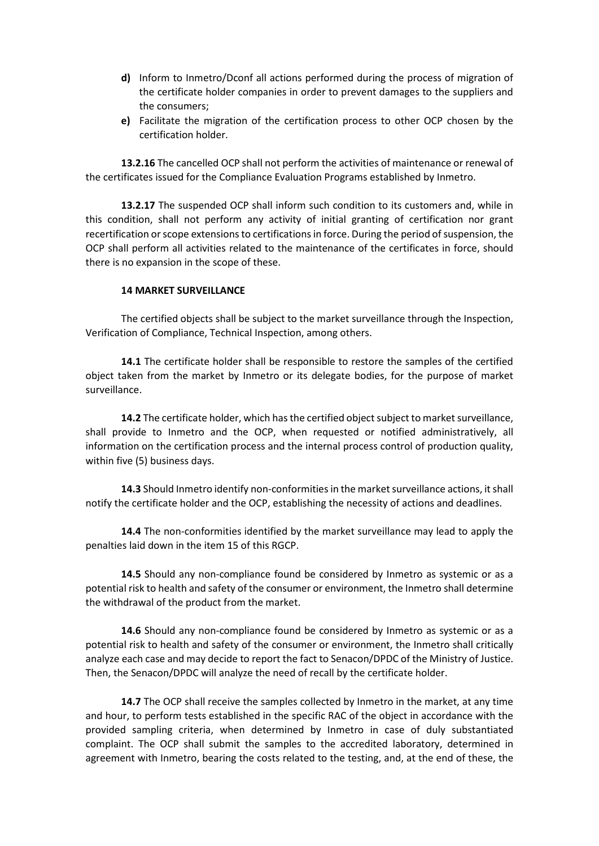- **d)** Inform to Inmetro/Dconf all actions performed during the process of migration of the certificate holder companies in order to prevent damages to the suppliers and the consumers;
- **e)** Facilitate the migration of the certification process to other OCP chosen by the certification holder.

**13.2.16** The cancelled OCP shall not perform the activities of maintenance or renewal of the certificates issued for the Compliance Evaluation Programs established by Inmetro.

**13.2.17** The suspended OCP shall inform such condition to its customers and, while in this condition, shall not perform any activity of initial granting of certification nor grant recertification or scope extensions to certifications in force. During the period of suspension, the OCP shall perform all activities related to the maintenance of the certificates in force, should there is no expansion in the scope of these.

### **14 MARKET SURVEILLANCE**

The certified objects shall be subject to the market surveillance through the Inspection, Verification of Compliance, Technical Inspection, among others.

**14.1** The certificate holder shall be responsible to restore the samples of the certified object taken from the market by Inmetro or its delegate bodies, for the purpose of market surveillance.

**14.2** The certificate holder, which has the certified object subject to market surveillance, shall provide to Inmetro and the OCP, when requested or notified administratively, all information on the certification process and the internal process control of production quality, within five (5) business days.

**14.3** Should Inmetro identify non-conformities in the market surveillance actions, it shall notify the certificate holder and the OCP, establishing the necessity of actions and deadlines.

**14.4** The non-conformities identified by the market surveillance may lead to apply the penalties laid down in the item 15 of this RGCP.

**14.5** Should any non-compliance found be considered by Inmetro as systemic or as a potential risk to health and safety of the consumer or environment, the Inmetro shall determine the withdrawal of the product from the market.

**14.6** Should any non-compliance found be considered by Inmetro as systemic or as a potential risk to health and safety of the consumer or environment, the Inmetro shall critically analyze each case and may decide to report the fact to Senacon/DPDC of the Ministry of Justice. Then, the Senacon/DPDC will analyze the need of recall by the certificate holder.

**14.7** The OCP shall receive the samples collected by Inmetro in the market, at any time and hour, to perform tests established in the specific RAC of the object in accordance with the provided sampling criteria, when determined by Inmetro in case of duly substantiated complaint. The OCP shall submit the samples to the accredited laboratory, determined in agreement with Inmetro, bearing the costs related to the testing, and, at the end of these, the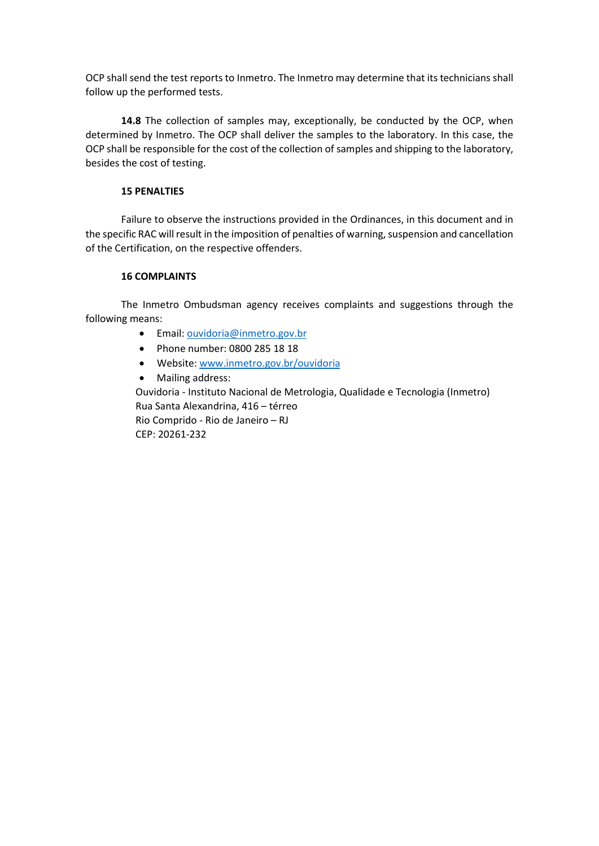OCP shall send the test reports to Inmetro. The Inmetro may determine that its technicians shall follow up the performed tests.

**14.8** The collection of samples may, exceptionally, be conducted by the OCP, when determined by Inmetro. The OCP shall deliver the samples to the laboratory. In this case, the OCP shall be responsible for the cost of the collection of samples and shipping to the laboratory, besides the cost of testing.

### **15 PENALTIES**

Failure to observe the instructions provided in the Ordinances, in this document and in the specific RAC will result in the imposition of penalties of warning, suspension and cancellation of the Certification, on the respective offenders.

## **16 COMPLAINTS**

The Inmetro Ombudsman agency receives complaints and suggestions through the following means:

- Email: [ouvidoria@inmetro.gov.br](mailto:ouvidoria@inmetro.gov.br)
- Phone number: 0800 285 18 18
- Website: [www.inmetro.gov.br/ouvidoria](http://www.inmetro.gov.br/ouvidoria)
- Mailing address:

Ouvidoria - Instituto Nacional de Metrologia, Qualidade e Tecnologia (Inmetro) Rua Santa Alexandrina, 416 – térreo Rio Comprido - Rio de Janeiro – RJ CEP: 20261-232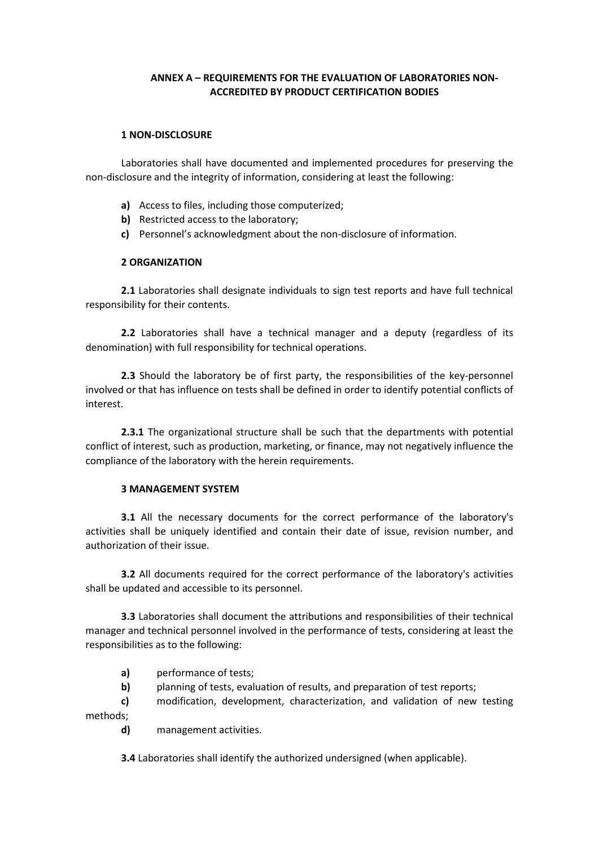# **ANNEX A – REQUIREMENTS FOR THE EVALUATION OF LABORATORIES NON-ACCREDITED BY PRODUCT CERTIFICATION BODIES**

#### **1 NON-DISCLOSURE**

Laboratories shall have documented and implemented procedures for preserving the non-disclosure and the integrity of information, considering at least the following:

- **a)** Access to files, including those computerized;
- **b)** Restricted access to the laboratory:
- **c)** Personnel's acknowledgment about the non-disclosure of information.

### **2 ORGANIZATION**

**2.1** Laboratories shall designate individuals to sign test reports and have full technical responsibility for their contents.

**2.2** Laboratories shall have a technical manager and a deputy (regardless of its denomination) with full responsibility for technical operations.

**2.3** Should the laboratory be of first party, the responsibilities of the key-personnel involved or that has influence on tests shall be defined in order to identify potential conflicts of interest.

**2.3.1** The organizational structure shall be such that the departments with potential conflict of interest, such as production, marketing, or finance, may not negatively influence the compliance of the laboratory with the herein requirements.

### **3 MANAGEMENT SYSTEM**

**3.1** All the necessary documents for the correct performance of the laboratory's activities shall be uniquely identified and contain their date of issue, revision number, and authorization of their issue.

**3.2** All documents required for the correct performance of the laboratory's activities shall be updated and accessible to its personnel.

**3.3** Laboratories shall document the attributions and responsibilities of their technical manager and technical personnel involved in the performance of tests, considering at least the responsibilities as to the following:

- **a)** performance of tests;
- **b)** planning of tests, evaluation of results, and preparation of test reports;
- **c)** modification, development, characterization, and validation of new testing methods;
	- **d)** management activities.

**3.4** Laboratories shall identify the authorized undersigned (when applicable).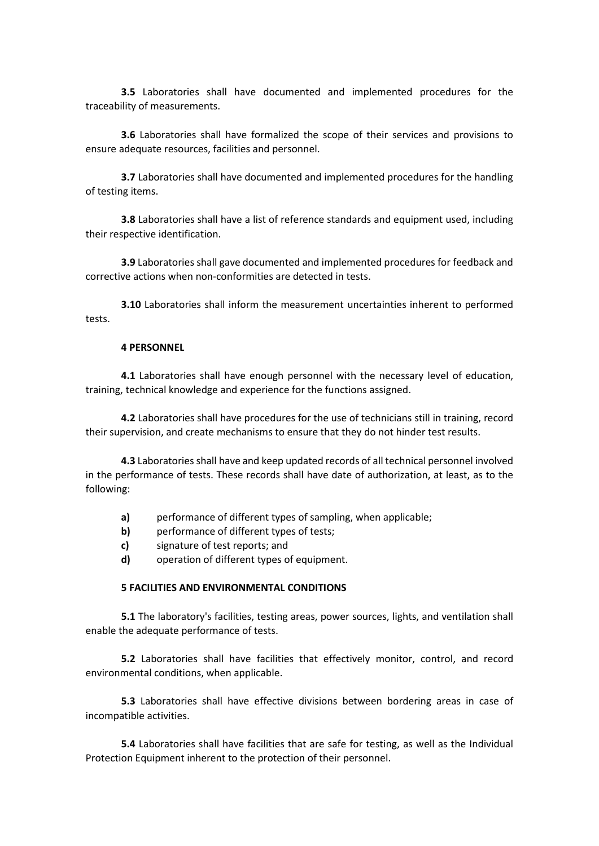**3.5** Laboratories shall have documented and implemented procedures for the traceability of measurements.

**3.6** Laboratories shall have formalized the scope of their services and provisions to ensure adequate resources, facilities and personnel.

**3.7** Laboratories shall have documented and implemented procedures for the handling of testing items.

**3.8** Laboratories shall have a list of reference standards and equipment used, including their respective identification.

**3.9** Laboratories shall gave documented and implemented procedures for feedback and corrective actions when non-conformities are detected in tests.

**3.10** Laboratories shall inform the measurement uncertainties inherent to performed tests.

#### **4 PERSONNEL**

**4.1** Laboratories shall have enough personnel with the necessary level of education, training, technical knowledge and experience for the functions assigned.

**4.2** Laboratories shall have procedures for the use of technicians still in training, record their supervision, and create mechanisms to ensure that they do not hinder test results.

**4.3** Laboratories shall have and keep updated records of all technical personnel involved in the performance of tests. These records shall have date of authorization, at least, as to the following:

- **a)** performance of different types of sampling, when applicable;
- **b)** performance of different types of tests;
- **c)** signature of test reports; and
- **d)** operation of different types of equipment.

### **5 FACILITIES AND ENVIRONMENTAL CONDITIONS**

**5.1** The laboratory's facilities, testing areas, power sources, lights, and ventilation shall enable the adequate performance of tests.

**5.2** Laboratories shall have facilities that effectively monitor, control, and record environmental conditions, when applicable.

**5.3** Laboratories shall have effective divisions between bordering areas in case of incompatible activities.

**5.4** Laboratories shall have facilities that are safe for testing, as well as the Individual Protection Equipment inherent to the protection of their personnel.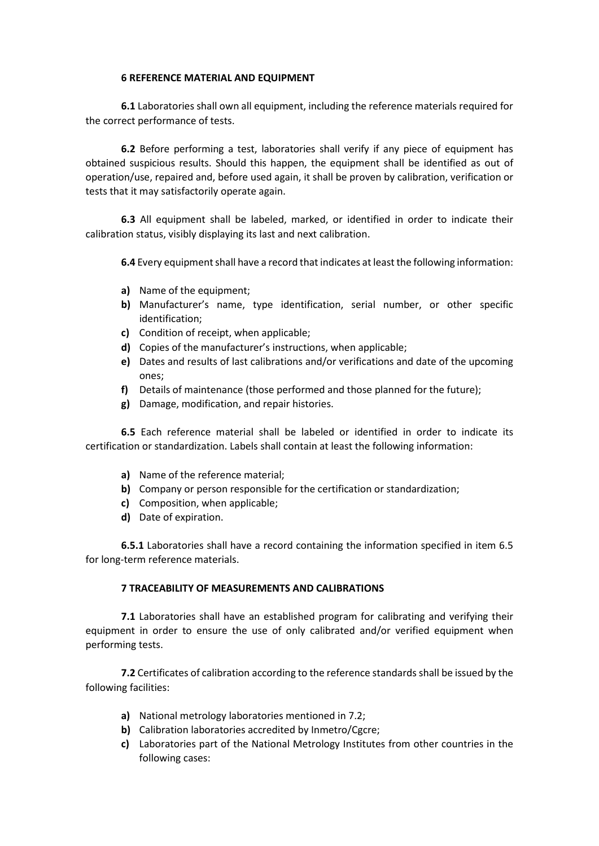### **6 REFERENCE MATERIAL AND EQUIPMENT**

**6.1** Laboratories shall own all equipment, including the reference materials required for the correct performance of tests.

**6.2** Before performing a test, laboratories shall verify if any piece of equipment has obtained suspicious results. Should this happen, the equipment shall be identified as out of operation/use, repaired and, before used again, it shall be proven by calibration, verification or tests that it may satisfactorily operate again.

**6.3** All equipment shall be labeled, marked, or identified in order to indicate their calibration status, visibly displaying its last and next calibration.

**6.4** Every equipment shall have a record that indicates at least the following information:

- **a)** Name of the equipment;
- **b)** Manufacturer's name, type identification, serial number, or other specific identification;
- **c)** Condition of receipt, when applicable;
- **d)** Copies of the manufacturer's instructions, when applicable;
- **e)** Dates and results of last calibrations and/or verifications and date of the upcoming ones;
- **f)** Details of maintenance (those performed and those planned for the future);
- **g)** Damage, modification, and repair histories.

**6.5** Each reference material shall be labeled or identified in order to indicate its certification or standardization. Labels shall contain at least the following information:

- **a)** Name of the reference material;
- **b)** Company or person responsible for the certification or standardization;
- **c)** Composition, when applicable;
- **d)** Date of expiration.

**6.5.1** Laboratories shall have a record containing the information specified in item 6.5 for long-term reference materials.

### **7 TRACEABILITY OF MEASUREMENTS AND CALIBRATIONS**

**7.1** Laboratories shall have an established program for calibrating and verifying their equipment in order to ensure the use of only calibrated and/or verified equipment when performing tests.

**7.2** Certificates of calibration according to the reference standards shall be issued by the following facilities:

- **a)** National metrology laboratories mentioned in 7.2;
- **b)** Calibration laboratories accredited by Inmetro/Cgcre;
- **c)** Laboratories part of the National Metrology Institutes from other countries in the following cases: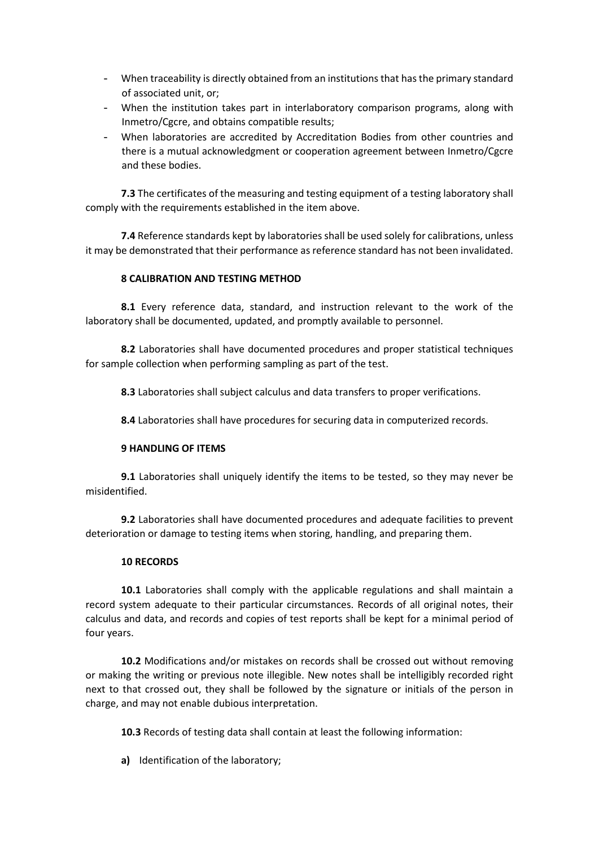- When traceability is directly obtained from an institutions that has the primary standard of associated unit, or;
- When the institution takes part in interlaboratory comparison programs, along with Inmetro/Cgcre, and obtains compatible results;
- When laboratories are accredited by Accreditation Bodies from other countries and there is a mutual acknowledgment or cooperation agreement between Inmetro/Cgcre and these bodies.

**7.3** The certificates of the measuring and testing equipment of a testing laboratory shall comply with the requirements established in the item above.

**7.4** Reference standards kept by laboratories shall be used solely for calibrations, unless it may be demonstrated that their performance as reference standard has not been invalidated.

## **8 CALIBRATION AND TESTING METHOD**

**8.1** Every reference data, standard, and instruction relevant to the work of the laboratory shall be documented, updated, and promptly available to personnel.

**8.2** Laboratories shall have documented procedures and proper statistical techniques for sample collection when performing sampling as part of the test.

**8.3** Laboratories shall subject calculus and data transfers to proper verifications.

**8.4** Laboratories shall have procedures for securing data in computerized records.

### **9 HANDLING OF ITEMS**

**9.1** Laboratories shall uniquely identify the items to be tested, so they may never be misidentified.

**9.2** Laboratories shall have documented procedures and adequate facilities to prevent deterioration or damage to testing items when storing, handling, and preparing them.

### **10 RECORDS**

**10.1** Laboratories shall comply with the applicable regulations and shall maintain a record system adequate to their particular circumstances. Records of all original notes, their calculus and data, and records and copies of test reports shall be kept for a minimal period of four years.

**10.2** Modifications and/or mistakes on records shall be crossed out without removing or making the writing or previous note illegible. New notes shall be intelligibly recorded right next to that crossed out, they shall be followed by the signature or initials of the person in charge, and may not enable dubious interpretation.

**10.3** Records of testing data shall contain at least the following information:

**a)** Identification of the laboratory;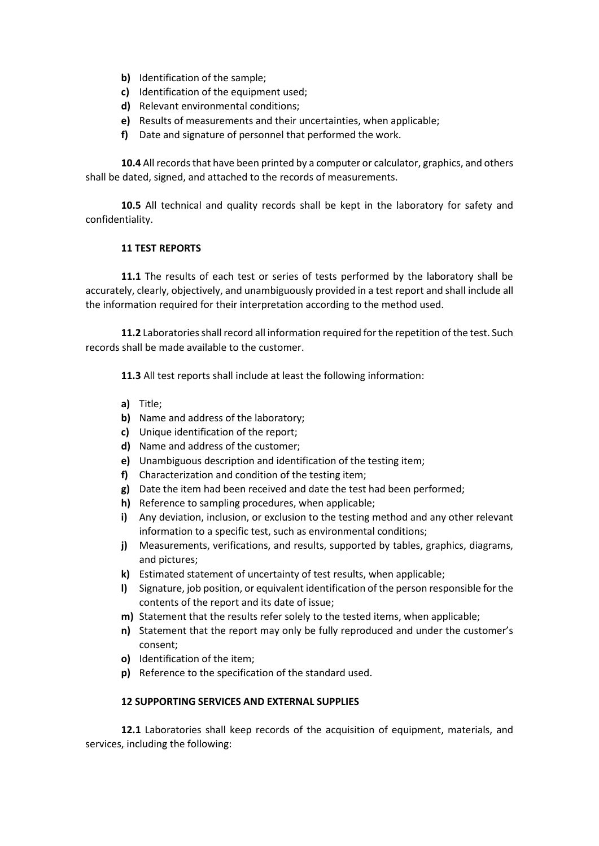- **b)** Identification of the sample;
- **c)** Identification of the equipment used;
- **d)** Relevant environmental conditions;
- **e)** Results of measurements and their uncertainties, when applicable;
- **f)** Date and signature of personnel that performed the work.

**10.4** All records that have been printed by a computer or calculator, graphics, and others shall be dated, signed, and attached to the records of measurements.

**10.5** All technical and quality records shall be kept in the laboratory for safety and confidentiality.

### **11 TEST REPORTS**

**11.1** The results of each test or series of tests performed by the laboratory shall be accurately, clearly, objectively, and unambiguously provided in a test report and shall include all the information required for their interpretation according to the method used.

11.2 Laboratories shall record all information required for the repetition of the test. Such records shall be made available to the customer.

**11.3** All test reports shall include at least the following information:

- **a)** Title;
- **b)** Name and address of the laboratory;
- **c)** Unique identification of the report;
- **d)** Name and address of the customer;
- **e)** Unambiguous description and identification of the testing item;
- **f)** Characterization and condition of the testing item;
- **g)** Date the item had been received and date the test had been performed;
- **h)** Reference to sampling procedures, when applicable;
- **i)** Any deviation, inclusion, or exclusion to the testing method and any other relevant information to a specific test, such as environmental conditions;
- **j)** Measurements, verifications, and results, supported by tables, graphics, diagrams, and pictures;
- **k)** Estimated statement of uncertainty of test results, when applicable;
- **l)** Signature, job position, or equivalent identification of the person responsible for the contents of the report and its date of issue;
- **m)** Statement that the results refer solely to the tested items, when applicable;
- **n)** Statement that the report may only be fully reproduced and under the customer's consent;
- **o)** Identification of the item;
- **p)** Reference to the specification of the standard used.

### **12 SUPPORTING SERVICES AND EXTERNAL SUPPLIES**

**12.1** Laboratories shall keep records of the acquisition of equipment, materials, and services, including the following: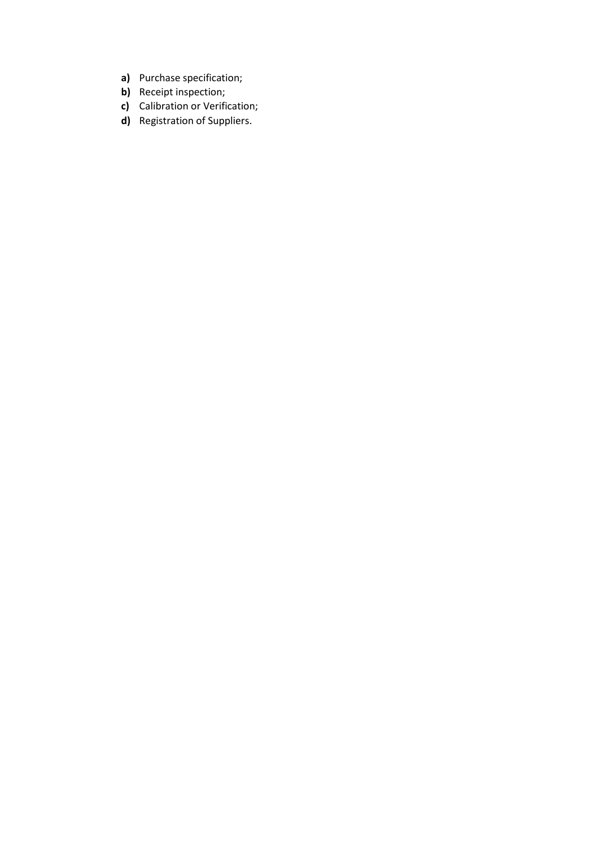- **a)** Purchase specification;
- **b)** Receipt inspection;
- **c)** Calibration or Verification;
- **d)** Registration of Suppliers.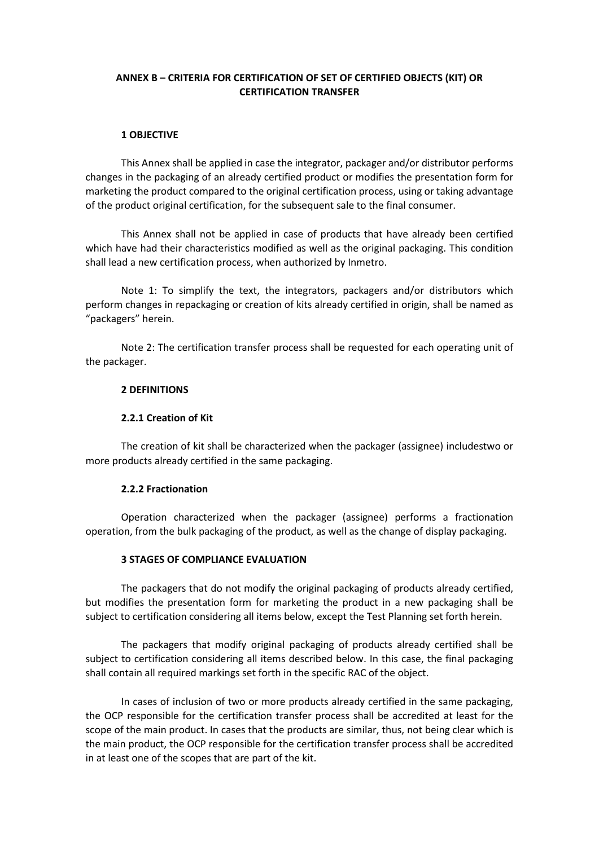## **ANNEX B – CRITERIA FOR CERTIFICATION OF SET OF CERTIFIED OBJECTS (KIT) OR CERTIFICATION TRANSFER**

#### **1 OBJECTIVE**

This Annex shall be applied in case the integrator, packager and/or distributor performs changes in the packaging of an already certified product or modifies the presentation form for marketing the product compared to the original certification process, using or taking advantage of the product original certification, for the subsequent sale to the final consumer.

This Annex shall not be applied in case of products that have already been certified which have had their characteristics modified as well as the original packaging. This condition shall lead a new certification process, when authorized by Inmetro.

Note 1: To simplify the text, the integrators, packagers and/or distributors which perform changes in repackaging or creation of kits already certified in origin, shall be named as "packagers" herein.

Note 2: The certification transfer process shall be requested for each operating unit of the packager.

#### **2 DEFINITIONS**

#### **2.2.1 Creation of Kit**

The creation of kit shall be characterized when the packager (assignee) includestwo or more products already certified in the same packaging.

### **2.2.2 Fractionation**

Operation characterized when the packager (assignee) performs a fractionation operation, from the bulk packaging of the product, as well as the change of display packaging.

### **3 STAGES OF COMPLIANCE EVALUATION**

The packagers that do not modify the original packaging of products already certified, but modifies the presentation form for marketing the product in a new packaging shall be subject to certification considering all items below, except the Test Planning set forth herein.

The packagers that modify original packaging of products already certified shall be subject to certification considering all items described below. In this case, the final packaging shall contain all required markings set forth in the specific RAC of the object.

In cases of inclusion of two or more products already certified in the same packaging, the OCP responsible for the certification transfer process shall be accredited at least for the scope of the main product. In cases that the products are similar, thus, not being clear which is the main product, the OCP responsible for the certification transfer process shall be accredited in at least one of the scopes that are part of the kit.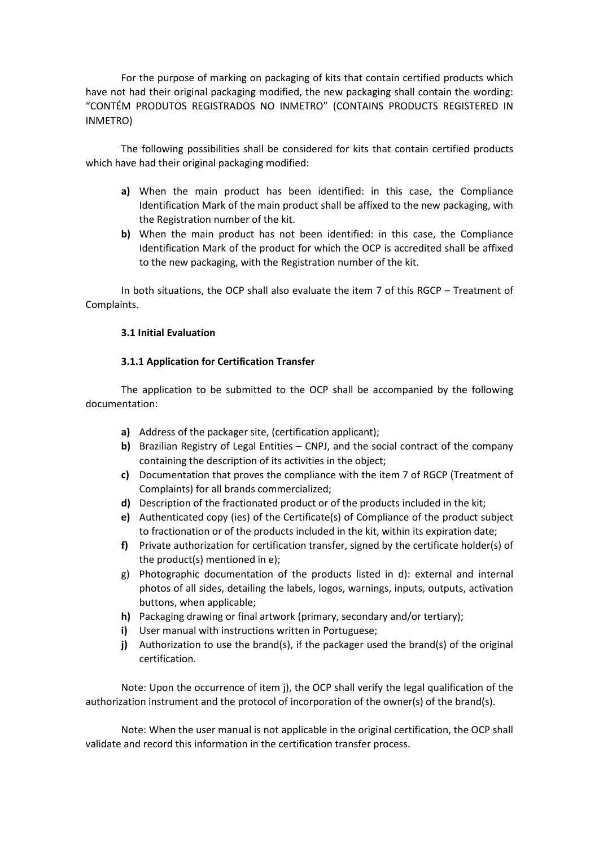For the purpose of marking on packaging of kits that contain certified products which have not had their original packaging modified, the new packaging shall contain the wording: "CONTÉM PRODUTOS REGISTRADOS NO INMETRO" (CONTAINS PRODUCTS REGISTERED IN INMETRO)

The following possibilities shall be considered for kits that contain certified products which have had their original packaging modified:

- **a)** When the main product has been identified: in this case, the Compliance Identification Mark of the main product shall be affixed to the new packaging, with the Registration number of the kit.
- **b)** When the main product has not been identified: in this case, the Compliance Identification Mark of the product for which the OCP is accredited shall be affixed to the new packaging, with the Registration number of the kit.

In both situations, the OCP shall also evaluate the item 7 of this RGCP – Treatment of Complaints.

## **3.1 Initial Evaluation**

## **3.1.1 Application for Certification Transfer**

The application to be submitted to the OCP shall be accompanied by the following documentation:

- **a)** Address of the packager site, (certification applicant);
- **b)** Brazilian Registry of Legal Entities CNPJ, and the social contract of the company containing the description of its activities in the object;
- **c)** Documentation that proves the compliance with the item 7 of RGCP (Treatment of Complaints) for all brands commercialized;
- **d)** Description of the fractionated product or of the products included in the kit;
- **e)** Authenticated copy (ies) of the Certificate(s) of Compliance of the product subject to fractionation or of the products included in the kit, within its expiration date;
- **f)** Private authorization for certification transfer, signed by the certificate holder(s) of the product(s) mentioned in e);
- g) Photographic documentation of the products listed in d): external and internal photos of all sides, detailing the labels, logos, warnings, inputs, outputs, activation buttons, when applicable;
- **h)** Packaging drawing or final artwork (primary, secondary and/or tertiary);
- **i)** User manual with instructions written in Portuguese;
- **j)** Authorization to use the brand(s), if the packager used the brand(s) of the original certification.

Note: Upon the occurrence of item j), the OCP shall verify the legal qualification of the authorization instrument and the protocol of incorporation of the owner(s) of the brand(s).

Note: When the user manual is not applicable in the original certification, the OCP shall validate and record this information in the certification transfer process.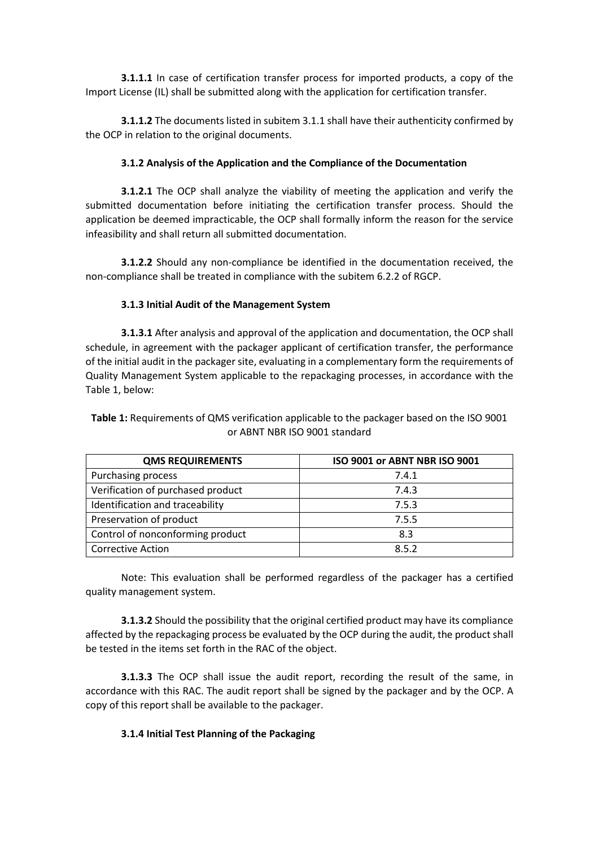**3.1.1.1** In case of certification transfer process for imported products, a copy of the Import License (IL) shall be submitted along with the application for certification transfer.

**3.1.1.2** The documents listed in subitem 3.1.1 shall have their authenticity confirmed by the OCP in relation to the original documents.

## **3.1.2 Analysis of the Application and the Compliance of the Documentation**

**3.1.2.1** The OCP shall analyze the viability of meeting the application and verify the submitted documentation before initiating the certification transfer process. Should the application be deemed impracticable, the OCP shall formally inform the reason for the service infeasibility and shall return all submitted documentation.

**3.1.2.2** Should any non-compliance be identified in the documentation received, the non-compliance shall be treated in compliance with the subitem 6.2.2 of RGCP.

## **3.1.3 Initial Audit of the Management System**

**3.1.3.1** After analysis and approval of the application and documentation, the OCP shall schedule, in agreement with the packager applicant of certification transfer, the performance of the initial audit in the packager site, evaluating in a complementary form the requirements of Quality Management System applicable to the repackaging processes, in accordance with the Table 1, below:

**Table 1:** Requirements of QMS verification applicable to the packager based on the ISO 9001 or ABNT NBR ISO 9001 standard

| <b>QMS REQUIREMENTS</b>           | ISO 9001 or ABNT NBR ISO 9001 |  |  |  |
|-----------------------------------|-------------------------------|--|--|--|
| Purchasing process                | 7.4.1                         |  |  |  |
| Verification of purchased product | 7.4.3                         |  |  |  |
| Identification and traceability   | 7.5.3                         |  |  |  |
| Preservation of product           | 7.5.5                         |  |  |  |
| Control of nonconforming product  | 8.3                           |  |  |  |
| <b>Corrective Action</b>          | 8.5.2                         |  |  |  |

Note: This evaluation shall be performed regardless of the packager has a certified quality management system.

**3.1.3.2** Should the possibility that the original certified product may have its compliance affected by the repackaging process be evaluated by the OCP during the audit, the product shall be tested in the items set forth in the RAC of the object.

**3.1.3.3** The OCP shall issue the audit report, recording the result of the same, in accordance with this RAC. The audit report shall be signed by the packager and by the OCP. A copy of this report shall be available to the packager.

# **3.1.4 Initial Test Planning of the Packaging**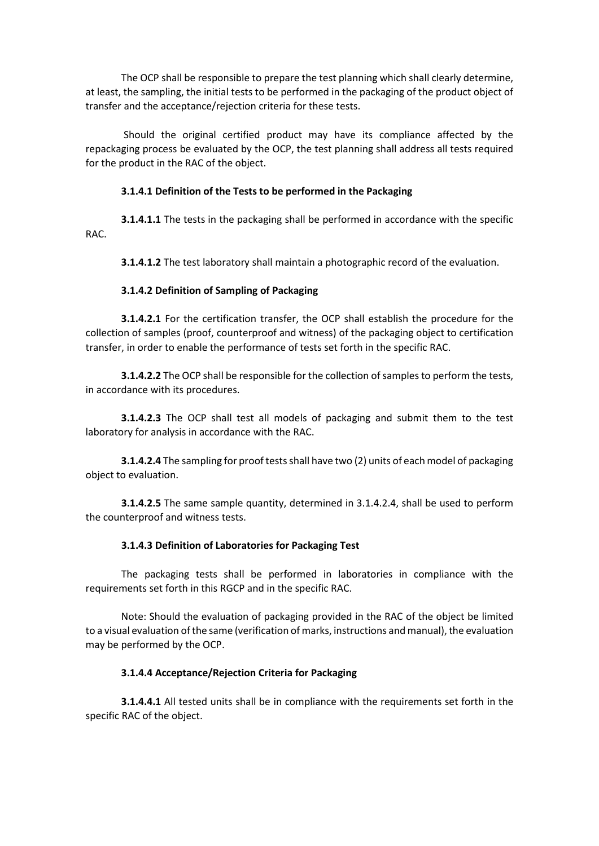The OCP shall be responsible to prepare the test planning which shall clearly determine, at least, the sampling, the initial tests to be performed in the packaging of the product object of transfer and the acceptance/rejection criteria for these tests.

Should the original certified product may have its compliance affected by the repackaging process be evaluated by the OCP, the test planning shall address all tests required for the product in the RAC of the object.

# **3.1.4.1 Definition of the Tests to be performed in the Packaging**

**3.1.4.1.1** The tests in the packaging shall be performed in accordance with the specific RAC.

**3.1.4.1.2** The test laboratory shall maintain a photographic record of the evaluation.

# **3.1.4.2 Definition of Sampling of Packaging**

**3.1.4.2.1** For the certification transfer, the OCP shall establish the procedure for the collection of samples (proof, counterproof and witness) of the packaging object to certification transfer, in order to enable the performance of tests set forth in the specific RAC.

**3.1.4.2.2** The OCP shall be responsible for the collection of samples to perform the tests, in accordance with its procedures.

**3.1.4.2.3** The OCP shall test all models of packaging and submit them to the test laboratory for analysis in accordance with the RAC.

**3.1.4.2.4** The sampling for proof tests shall have two (2) units of each model of packaging object to evaluation.

**3.1.4.2.5** The same sample quantity, determined in 3.1.4.2.4, shall be used to perform the counterproof and witness tests.

# **3.1.4.3 Definition of Laboratories for Packaging Test**

The packaging tests shall be performed in laboratories in compliance with the requirements set forth in this RGCP and in the specific RAC.

Note: Should the evaluation of packaging provided in the RAC of the object be limited to a visual evaluation of the same (verification of marks, instructions and manual), the evaluation may be performed by the OCP.

# **3.1.4.4 Acceptance/Rejection Criteria for Packaging**

**3.1.4.4.1** All tested units shall be in compliance with the requirements set forth in the specific RAC of the object.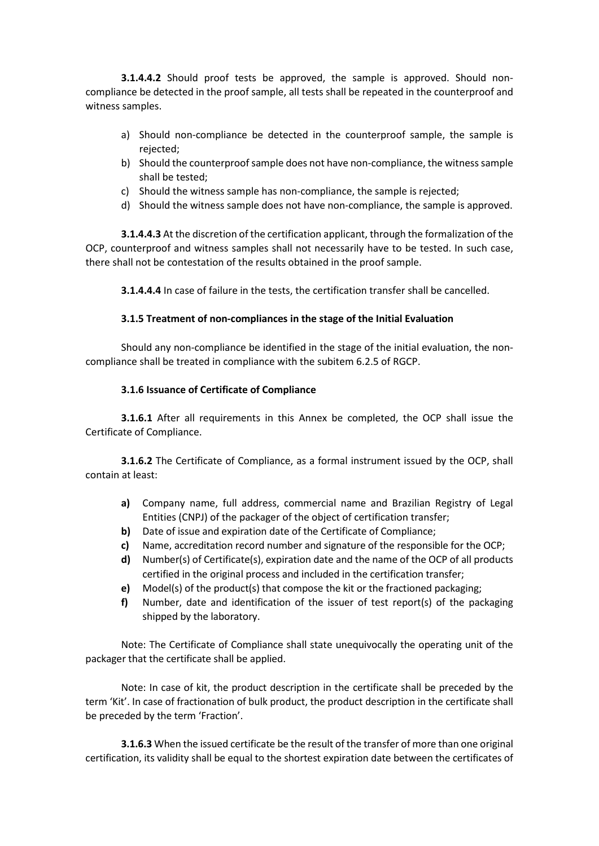**3.1.4.4.2** Should proof tests be approved, the sample is approved. Should noncompliance be detected in the proof sample, all tests shall be repeated in the counterproof and witness samples.

- a) Should non-compliance be detected in the counterproof sample, the sample is rejected;
- b) Should the counterproof sample does not have non-compliance, the witness sample shall be tested;
- c) Should the witness sample has non-compliance, the sample is rejected;
- d) Should the witness sample does not have non-compliance, the sample is approved.

**3.1.4.4.3** At the discretion of the certification applicant, through the formalization of the OCP, counterproof and witness samples shall not necessarily have to be tested. In such case, there shall not be contestation of the results obtained in the proof sample.

**3.1.4.4.4** In case of failure in the tests, the certification transfer shall be cancelled.

### **3.1.5 Treatment of non-compliances in the stage of the Initial Evaluation**

Should any non-compliance be identified in the stage of the initial evaluation, the noncompliance shall be treated in compliance with the subitem 6.2.5 of RGCP.

## **3.1.6 Issuance of Certificate of Compliance**

**3.1.6.1** After all requirements in this Annex be completed, the OCP shall issue the Certificate of Compliance.

**3.1.6.2** The Certificate of Compliance, as a formal instrument issued by the OCP, shall contain at least:

- **a)** Company name, full address, commercial name and Brazilian Registry of Legal Entities (CNPJ) of the packager of the object of certification transfer;
- **b)** Date of issue and expiration date of the Certificate of Compliance;
- **c)** Name, accreditation record number and signature of the responsible for the OCP;
- **d)** Number(s) of Certificate(s), expiration date and the name of the OCP of all products certified in the original process and included in the certification transfer;
- **e)** Model(s) of the product(s) that compose the kit or the fractioned packaging;
- **f)** Number, date and identification of the issuer of test report(s) of the packaging shipped by the laboratory.

Note: The Certificate of Compliance shall state unequivocally the operating unit of the packager that the certificate shall be applied.

Note: In case of kit, the product description in the certificate shall be preceded by the term 'Kit'. In case of fractionation of bulk product, the product description in the certificate shall be preceded by the term 'Fraction'.

**3.1.6.3** When the issued certificate be the result of the transfer of more than one original certification, its validity shall be equal to the shortest expiration date between the certificates of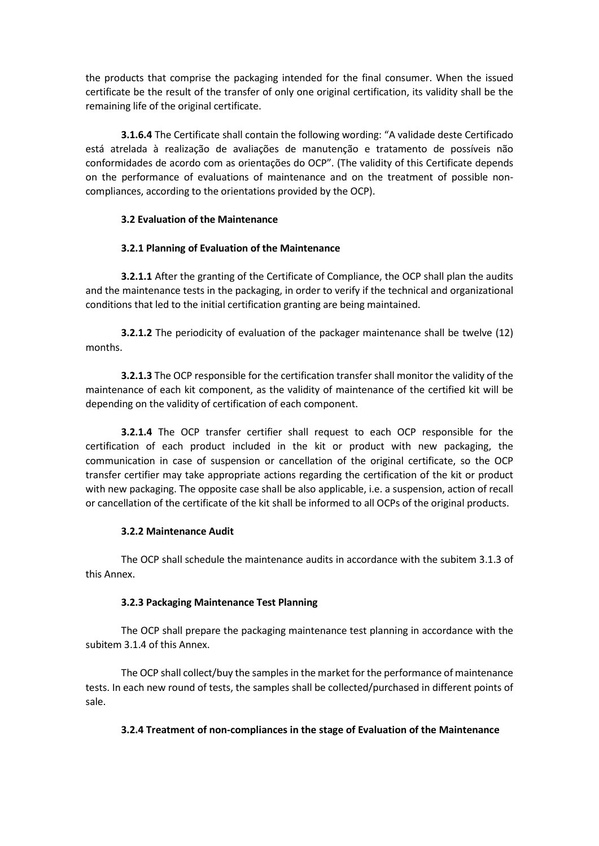the products that comprise the packaging intended for the final consumer. When the issued certificate be the result of the transfer of only one original certification, its validity shall be the remaining life of the original certificate.

**3.1.6.4** The Certificate shall contain the following wording: "A validade deste Certificado está atrelada à realização de avaliações de manutenção e tratamento de possíveis não conformidades de acordo com as orientações do OCP". (The validity of this Certificate depends on the performance of evaluations of maintenance and on the treatment of possible noncompliances, according to the orientations provided by the OCP).

## **3.2 Evaluation of the Maintenance**

## **3.2.1 Planning of Evaluation of the Maintenance**

**3.2.1.1** After the granting of the Certificate of Compliance, the OCP shall plan the audits and the maintenance tests in the packaging, in order to verify if the technical and organizational conditions that led to the initial certification granting are being maintained.

**3.2.1.2** The periodicity of evaluation of the packager maintenance shall be twelve (12) months.

**3.2.1.3** The OCP responsible for the certification transfer shall monitor the validity of the maintenance of each kit component, as the validity of maintenance of the certified kit will be depending on the validity of certification of each component.

**3.2.1.4** The OCP transfer certifier shall request to each OCP responsible for the certification of each product included in the kit or product with new packaging, the communication in case of suspension or cancellation of the original certificate, so the OCP transfer certifier may take appropriate actions regarding the certification of the kit or product with new packaging. The opposite case shall be also applicable, i.e. a suspension, action of recall or cancellation of the certificate of the kit shall be informed to all OCPs of the original products.

### **3.2.2 Maintenance Audit**

The OCP shall schedule the maintenance audits in accordance with the subitem 3.1.3 of this Annex.

### **3.2.3 Packaging Maintenance Test Planning**

The OCP shall prepare the packaging maintenance test planning in accordance with the subitem 3.1.4 of this Annex.

The OCP shall collect/buy the samples in the market for the performance of maintenance tests. In each new round of tests, the samples shall be collected/purchased in different points of sale.

# **3.2.4 Treatment of non-compliances in the stage of Evaluation of the Maintenance**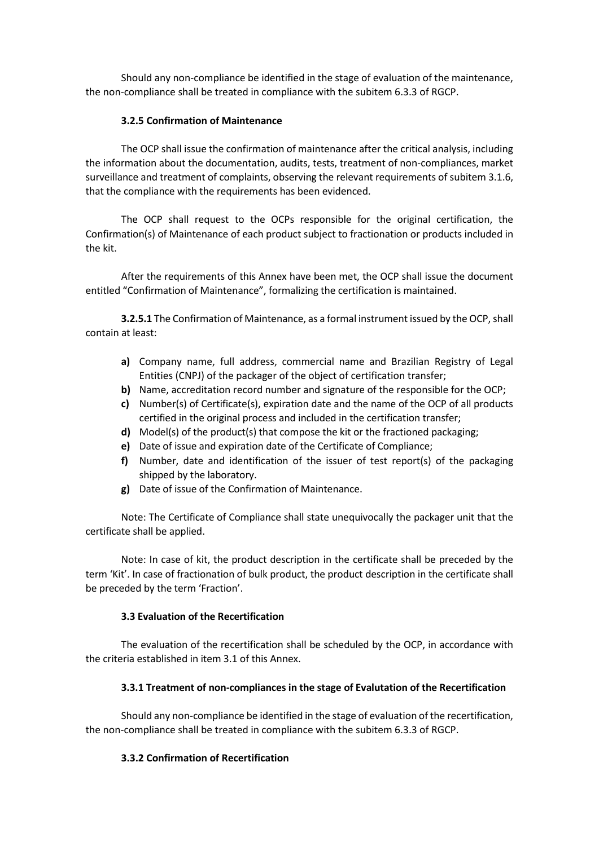Should any non-compliance be identified in the stage of evaluation of the maintenance, the non-compliance shall be treated in compliance with the subitem 6.3.3 of RGCP.

## **3.2.5 Confirmation of Maintenance**

The OCP shall issue the confirmation of maintenance after the critical analysis, including the information about the documentation, audits, tests, treatment of non-compliances, market surveillance and treatment of complaints, observing the relevant requirements of subitem 3.1.6, that the compliance with the requirements has been evidenced.

The OCP shall request to the OCPs responsible for the original certification, the Confirmation(s) of Maintenance of each product subject to fractionation or products included in the kit.

After the requirements of this Annex have been met, the OCP shall issue the document entitled "Confirmation of Maintenance", formalizing the certification is maintained.

**3.2.5.1** The Confirmation of Maintenance, as a formal instrument issued by the OCP, shall contain at least:

- **a)** Company name, full address, commercial name and Brazilian Registry of Legal Entities (CNPJ) of the packager of the object of certification transfer;
- **b)** Name, accreditation record number and signature of the responsible for the OCP;
- **c)** Number(s) of Certificate(s), expiration date and the name of the OCP of all products certified in the original process and included in the certification transfer;
- **d)** Model(s) of the product(s) that compose the kit or the fractioned packaging;
- **e)** Date of issue and expiration date of the Certificate of Compliance;
- **f)** Number, date and identification of the issuer of test report(s) of the packaging shipped by the laboratory.
- **g)** Date of issue of the Confirmation of Maintenance.

Note: The Certificate of Compliance shall state unequivocally the packager unit that the certificate shall be applied.

Note: In case of kit, the product description in the certificate shall be preceded by the term 'Kit'. In case of fractionation of bulk product, the product description in the certificate shall be preceded by the term 'Fraction'.

### **3.3 Evaluation of the Recertification**

The evaluation of the recertification shall be scheduled by the OCP, in accordance with the criteria established in item 3.1 of this Annex.

# **3.3.1 Treatment of non-compliances in the stage of Evalutation of the Recertification**

Should any non-compliance be identified in the stage of evaluation of the recertification, the non-compliance shall be treated in compliance with the subitem 6.3.3 of RGCP.

### **3.3.2 Confirmation of Recertification**